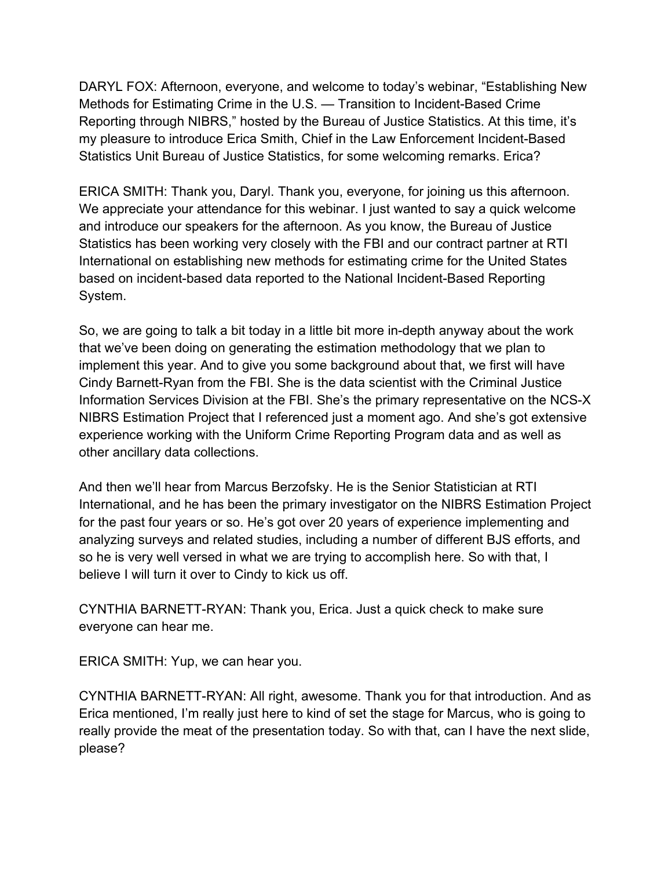DARYL FOX: Afternoon, everyone, and welcome to today's webinar, "Establishing New Methods for Estimating Crime in the U.S. — Transition to Incident-Based Crime Reporting through NIBRS," hosted by the Bureau of Justice Statistics. At this time, it's my pleasure to introduce Erica Smith, Chief in the Law Enforcement Incident-Based Statistics Unit Bureau of Justice Statistics, for some welcoming remarks. Erica?

ERICA SMITH: Thank you, Daryl. Thank you, everyone, for joining us this afternoon. We appreciate your attendance for this webinar. I just wanted to say a quick welcome and introduce our speakers for the afternoon. As you know, the Bureau of Justice Statistics has been working very closely with the FBI and our contract partner at RTI International on establishing new methods for estimating crime for the United States based on incident-based data reported to the National Incident-Based Reporting System.

So, we are going to talk a bit today in a little bit more in-depth anyway about the work that we've been doing on generating the estimation methodology that we plan to implement this year. And to give you some background about that, we first will have Cindy Barnett-Ryan from the FBI. She is the data scientist with the Criminal Justice Information Services Division at the FBI. She's the primary representative on the NCS-X NIBRS Estimation Project that I referenced just a moment ago. And she's got extensive experience working with the Uniform Crime Reporting Program data and as well as other ancillary data collections.

And then we'll hear from Marcus Berzofsky. He is the Senior Statistician at RTI International, and he has been the primary investigator on the NIBRS Estimation Project for the past four years or so. He's got over 20 years of experience implementing and analyzing surveys and related studies, including a number of different BJS efforts, and so he is very well versed in what we are trying to accomplish here. So with that, I believe I will turn it over to Cindy to kick us off.

CYNTHIA BARNETT-RYAN: Thank you, Erica. Just a quick check to make sure everyone can hear me.

ERICA SMITH: Yup, we can hear you.

CYNTHIA BARNETT-RYAN: All right, awesome. Thank you for that introduction. And as Erica mentioned, I'm really just here to kind of set the stage for Marcus, who is going to really provide the meat of the presentation today. So with that, can I have the next slide, please?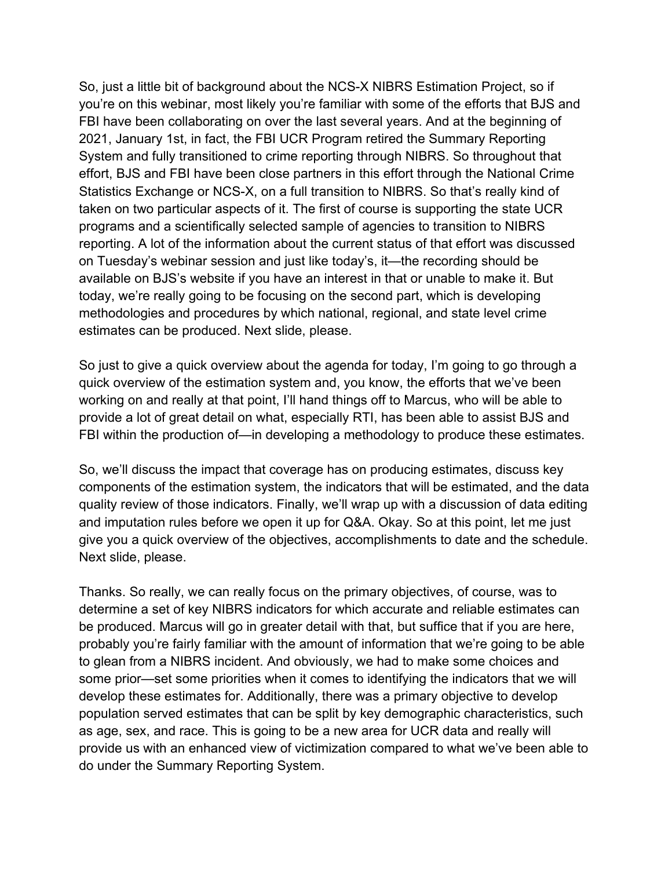So, just a little bit of background about the NCS-X NIBRS Estimation Project, so if you're on this webinar, most likely you're familiar with some of the efforts that BJS and FBI have been collaborating on over the last several years. And at the beginning of 2021, January 1st, in fact, the FBI UCR Program retired the Summary Reporting System and fully transitioned to crime reporting through NIBRS. So throughout that effort, BJS and FBI have been close partners in this effort through the National Crime Statistics Exchange or NCS-X, on a full transition to NIBRS. So that's really kind of taken on two particular aspects of it. The first of course is supporting the state UCR programs and a scientifically selected sample of agencies to transition to NIBRS reporting. A lot of the information about the current status of that effort was discussed on Tuesday's webinar session and just like today's, it—the recording should be available on BJS's website if you have an interest in that or unable to make it. But today, we're really going to be focusing on the second part, which is developing methodologies and procedures by which national, regional, and state level crime estimates can be produced. Next slide, please.

So just to give a quick overview about the agenda for today, I'm going to go through a quick overview of the estimation system and, you know, the efforts that we've been working on and really at that point, I'll hand things off to Marcus, who will be able to provide a lot of great detail on what, especially RTI, has been able to assist BJS and FBI within the production of—in developing a methodology to produce these estimates.

So, we'll discuss the impact that coverage has on producing estimates, discuss key components of the estimation system, the indicators that will be estimated, and the data quality review of those indicators. Finally, we'll wrap up with a discussion of data editing and imputation rules before we open it up for Q&A. Okay. So at this point, let me just give you a quick overview of the objectives, accomplishments to date and the schedule. Next slide, please.

Thanks. So really, we can really focus on the primary objectives, of course, was to determine a set of key NIBRS indicators for which accurate and reliable estimates can be produced. Marcus will go in greater detail with that, but suffice that if you are here, probably you're fairly familiar with the amount of information that we're going to be able to glean from a NIBRS incident. And obviously, we had to make some choices and some prior—set some priorities when it comes to identifying the indicators that we will develop these estimates for. Additionally, there was a primary objective to develop population served estimates that can be split by key demographic characteristics, such as age, sex, and race. This is going to be a new area for UCR data and really will provide us with an enhanced view of victimization compared to what we've been able to do under the Summary Reporting System.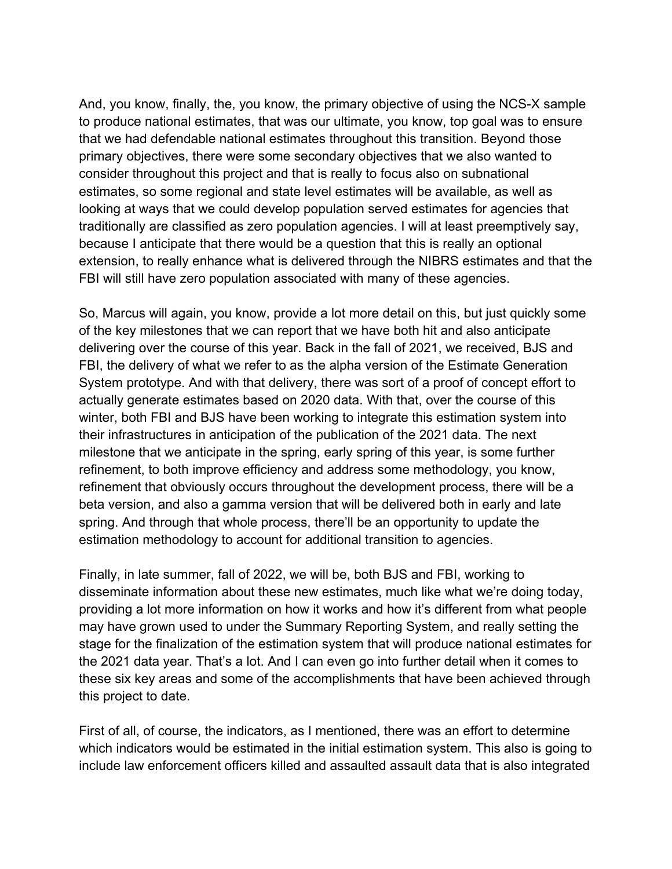And, you know, finally, the, you know, the primary objective of using the NCS-X sample to produce national estimates, that was our ultimate, you know, top goal was to ensure that we had defendable national estimates throughout this transition. Beyond those primary objectives, there were some secondary objectives that we also wanted to consider throughout this project and that is really to focus also on subnational estimates, so some regional and state level estimates will be available, as well as looking at ways that we could develop population served estimates for agencies that traditionally are classified as zero population agencies. I will at least preemptively say, because I anticipate that there would be a question that this is really an optional extension, to really enhance what is delivered through the NIBRS estimates and that the FBI will still have zero population associated with many of these agencies.

So, Marcus will again, you know, provide a lot more detail on this, but just quickly some of the key milestones that we can report that we have both hit and also anticipate delivering over the course of this year. Back in the fall of 2021, we received, BJS and FBI, the delivery of what we refer to as the alpha version of the Estimate Generation System prototype. And with that delivery, there was sort of a proof of concept effort to actually generate estimates based on 2020 data. With that, over the course of this winter, both FBI and BJS have been working to integrate this estimation system into their infrastructures in anticipation of the publication of the 2021 data. The next milestone that we anticipate in the spring, early spring of this year, is some further refinement, to both improve efficiency and address some methodology, you know, refinement that obviously occurs throughout the development process, there will be a beta version, and also a gamma version that will be delivered both in early and late spring. And through that whole process, there'll be an opportunity to update the estimation methodology to account for additional transition to agencies.

Finally, in late summer, fall of 2022, we will be, both BJS and FBI, working to disseminate information about these new estimates, much like what we're doing today, providing a lot more information on how it works and how it's different from what people may have grown used to under the Summary Reporting System, and really setting the stage for the finalization of the estimation system that will produce national estimates for the 2021 data year. That's a lot. And I can even go into further detail when it comes to these six key areas and some of the accomplishments that have been achieved through this project to date.

First of all, of course, the indicators, as I mentioned, there was an effort to determine which indicators would be estimated in the initial estimation system. This also is going to include law enforcement officers killed and assaulted assault data that is also integrated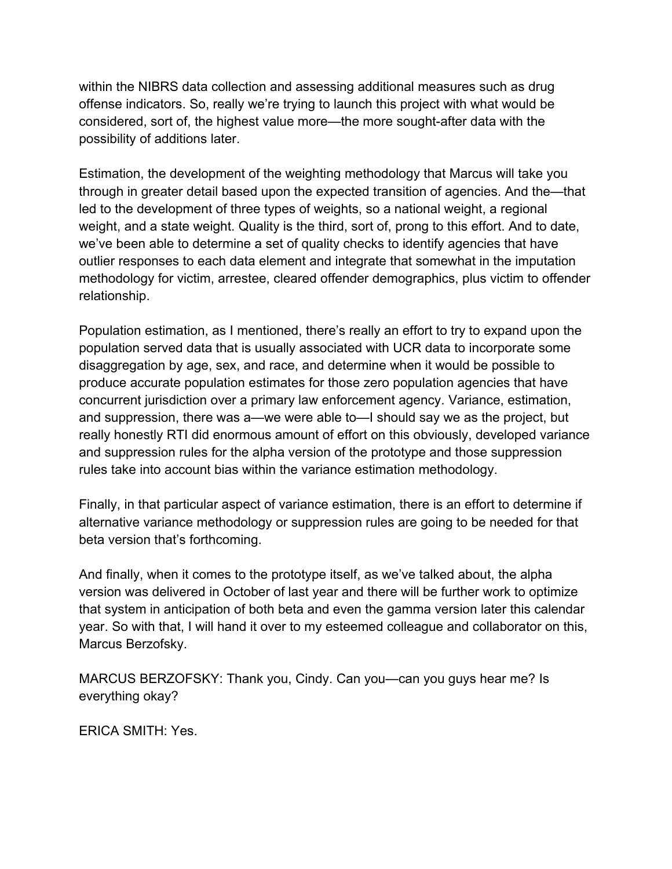within the NIBRS data collection and assessing additional measures such as drug offense indicators. So, really we're trying to launch this project with what would be considered, sort of, the highest value more—the more sought-after data with the possibility of additions later.

Estimation, the development of the weighting methodology that Marcus will take you through in greater detail based upon the expected transition of agencies. And the—that led to the development of three types of weights, so a national weight, a regional weight, and a state weight. Quality is the third, sort of, prong to this effort. And to date, we've been able to determine a set of quality checks to identify agencies that have outlier responses to each data element and integrate that somewhat in the imputation methodology for victim, arrestee, cleared offender demographics, plus victim to offender relationship.

Population estimation, as I mentioned, there's really an effort to try to expand upon the population served data that is usually associated with UCR data to incorporate some disaggregation by age, sex, and race, and determine when it would be possible to produce accurate population estimates for those zero population agencies that have concurrent jurisdiction over a primary law enforcement agency. Variance, estimation, and suppression, there was a—we were able to—I should say we as the project, but really honestly RTI did enormous amount of effort on this obviously, developed variance and suppression rules for the alpha version of the prototype and those suppression rules take into account bias within the variance estimation methodology.

Finally, in that particular aspect of variance estimation, there is an effort to determine if alternative variance methodology or suppression rules are going to be needed for that beta version that's forthcoming.

And finally, when it comes to the prototype itself, as we've talked about, the alpha version was delivered in October of last year and there will be further work to optimize that system in anticipation of both beta and even the gamma version later this calendar year. So with that, I will hand it over to my esteemed colleague and collaborator on this, Marcus Berzofsky.

MARCUS BERZOFSKY: Thank you, Cindy. Can you—can you guys hear me? Is everything okay?

ERICA SMITH: Yes.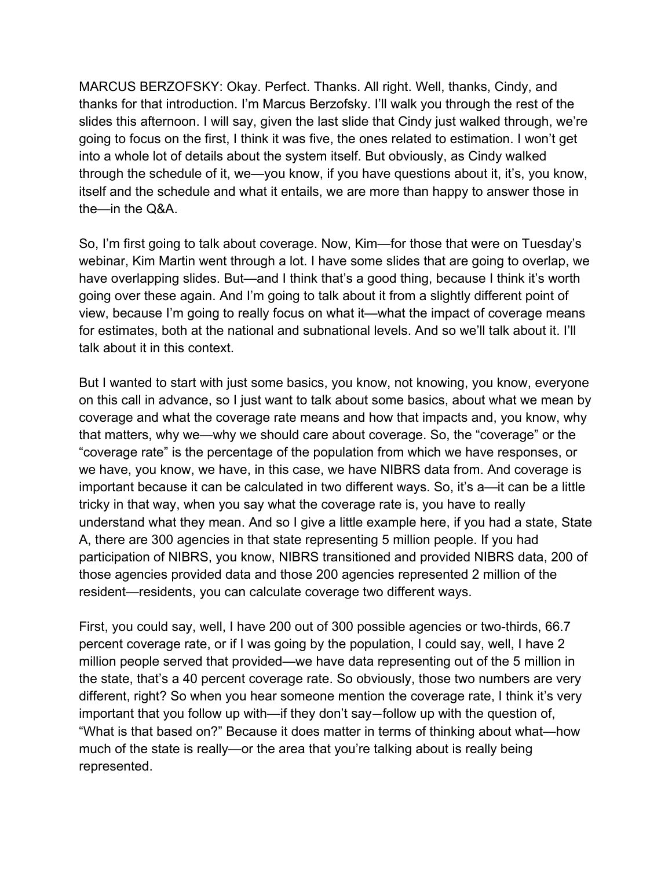MARCUS BERZOFSKY: Okay. Perfect. Thanks. All right. Well, thanks, Cindy, and thanks for that introduction. I'm Marcus Berzofsky. I'll walk you through the rest of the slides this afternoon. I will say, given the last slide that Cindy just walked through, we're going to focus on the first, I think it was five, the ones related to estimation. I won't get into a whole lot of details about the system itself. But obviously, as Cindy walked through the schedule of it, we—you know, if you have questions about it, it's, you know, itself and the schedule and what it entails, we are more than happy to answer those in the—in the Q&A.

So, I'm first going to talk about coverage. Now, Kim—for those that were on Tuesday's webinar, Kim Martin went through a lot. I have some slides that are going to overlap, we have overlapping slides. But—and I think that's a good thing, because I think it's worth going over these again. And I'm going to talk about it from a slightly different point of view, because I'm going to really focus on what it—what the impact of coverage means for estimates, both at the national and subnational levels. And so we'll talk about it. I'll talk about it in this context.

But I wanted to start with just some basics, you know, not knowing, you know, everyone on this call in advance, so I just want to talk about some basics, about what we mean by coverage and what the coverage rate means and how that impacts and, you know, why that matters, why we—why we should care about coverage. So, the "coverage" or the "coverage rate" is the percentage of the population from which we have responses, or we have, you know, we have, in this case, we have NIBRS data from. And coverage is important because it can be calculated in two different ways. So, it's a—it can be a little tricky in that way, when you say what the coverage rate is, you have to really understand what they mean. And so I give a little example here, if you had a state, State A, there are 300 agencies in that state representing 5 million people. If you had participation of NIBRS, you know, NIBRS transitioned and provided NIBRS data, 200 of those agencies provided data and those 200 agencies represented 2 million of the resident—residents, you can calculate coverage two different ways.

First, you could say, well, I have 200 out of 300 possible agencies or two-thirds, 66.7 percent coverage rate, or if I was going by the population, I could say, well, I have 2 million people served that provided—we have data representing out of the 5 million in the state, that's a 40 percent coverage rate. So obviously, those two numbers are very different, right? So when you hear someone mention the coverage rate, I think it's very important that you follow up with—if they don't say—follow up with the question of, "What is that based on?" Because it does matter in terms of thinking about what—how much of the state is really—or the area that you're talking about is really being represented.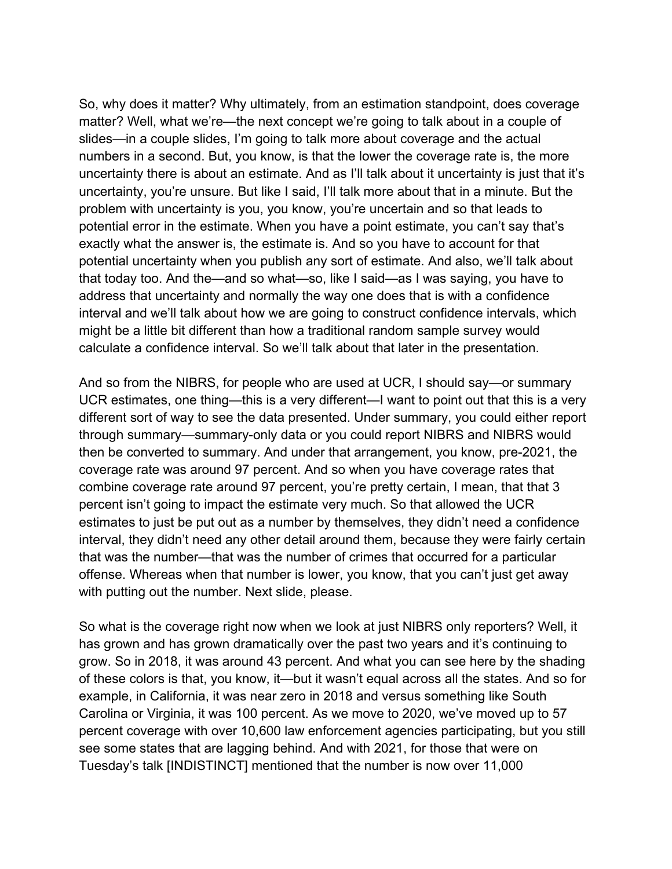So, why does it matter? Why ultimately, from an estimation standpoint, does coverage matter? Well, what we're—the next concept we're going to talk about in a couple of slides—in a couple slides, I'm going to talk more about coverage and the actual numbers in a second. But, you know, is that the lower the coverage rate is, the more uncertainty there is about an estimate. And as I'll talk about it uncertainty is just that it's uncertainty, you're unsure. But like I said, I'll talk more about that in a minute. But the problem with uncertainty is you, you know, you're uncertain and so that leads to potential error in the estimate. When you have a point estimate, you can't say that's exactly what the answer is, the estimate is. And so you have to account for that potential uncertainty when you publish any sort of estimate. And also, we'll talk about that today too. And the—and so what—so, like I said—as I was saying, you have to address that uncertainty and normally the way one does that is with a confidence interval and we'll talk about how we are going to construct confidence intervals, which might be a little bit different than how a traditional random sample survey would calculate a confidence interval. So we'll talk about that later in the presentation.

And so from the NIBRS, for people who are used at UCR, I should say—or summary UCR estimates, one thing—this is a very different—I want to point out that this is a very different sort of way to see the data presented. Under summary, you could either report through summary—summary-only data or you could report NIBRS and NIBRS would then be converted to summary. And under that arrangement, you know, pre-2021, the coverage rate was around 97 percent. And so when you have coverage rates that combine coverage rate around 97 percent, you're pretty certain, I mean, that that 3 percent isn't going to impact the estimate very much. So that allowed the UCR estimates to just be put out as a number by themselves, they didn't need a confidence interval, they didn't need any other detail around them, because they were fairly certain that was the number—that was the number of crimes that occurred for a particular offense. Whereas when that number is lower, you know, that you can't just get away with putting out the number. Next slide, please.

So what is the coverage right now when we look at just NIBRS only reporters? Well, it has grown and has grown dramatically over the past two years and it's continuing to grow. So in 2018, it was around 43 percent. And what you can see here by the shading of these colors is that, you know, it—but it wasn't equal across all the states. And so for example, in California, it was near zero in 2018 and versus something like South Carolina or Virginia, it was 100 percent. As we move to 2020, we've moved up to 57 percent coverage with over 10,600 law enforcement agencies participating, but you still see some states that are lagging behind. And with 2021, for those that were on Tuesday's talk [INDISTINCT] mentioned that the number is now over 11,000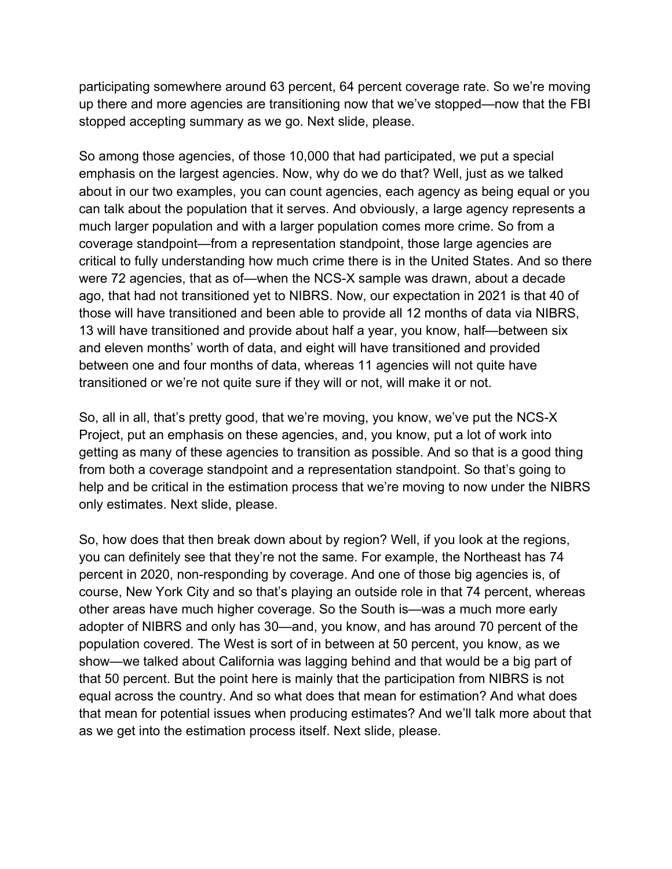participating somewhere around 63 percent, 64 percent coverage rate. So we're moving up there and more agencies are transitioning now that we've stopped—now that the FBI stopped accepting summary as we go. Next slide, please.

So among those agencies, of those 10,000 that had participated, we put a special emphasis on the largest agencies. Now, why do we do that? Well, just as we talked about in our two examples, you can count agencies, each agency as being equal or you can talk about the population that it serves. And obviously, a large agency represents a much larger population and with a larger population comes more crime. So from a coverage standpoint—from a representation standpoint, those large agencies are critical to fully understanding how much crime there is in the United States. And so there were 72 agencies, that as of—when the NCS-X sample was drawn, about a decade ago, that had not transitioned yet to NIBRS. Now, our expectation in 2021 is that 40 of those will have transitioned and been able to provide all 12 months of data via NIBRS, 13 will have transitioned and provide about half a year, you know, half—between six and eleven months' worth of data, and eight will have transitioned and provided between one and four months of data, whereas 11 agencies will not quite have transitioned or we're not quite sure if they will or not, will make it or not.

So, all in all, that's pretty good, that we're moving, you know, we've put the NCS-X Project, put an emphasis on these agencies, and, you know, put a lot of work into getting as many of these agencies to transition as possible. And so that is a good thing from both a coverage standpoint and a representation standpoint. So that's going to help and be critical in the estimation process that we're moving to now under the NIBRS only estimates. Next slide, please.

So, how does that then break down about by region? Well, if you look at the regions, you can definitely see that they're not the same. For example, the Northeast has 74 percent in 2020, non-responding by coverage. And one of those big agencies is, of course, New York City and so that's playing an outside role in that 74 percent, whereas other areas have much higher coverage. So the South is—was a much more early adopter of NIBRS and only has 30—and, you know, and has around 70 percent of the population covered. The West is sort of in between at 50 percent, you know, as we show—we talked about California was lagging behind and that would be a big part of that 50 percent. But the point here is mainly that the participation from NIBRS is not equal across the country. And so what does that mean for estimation? And what does that mean for potential issues when producing estimates? And we'll talk more about that as we get into the estimation process itself. Next slide, please.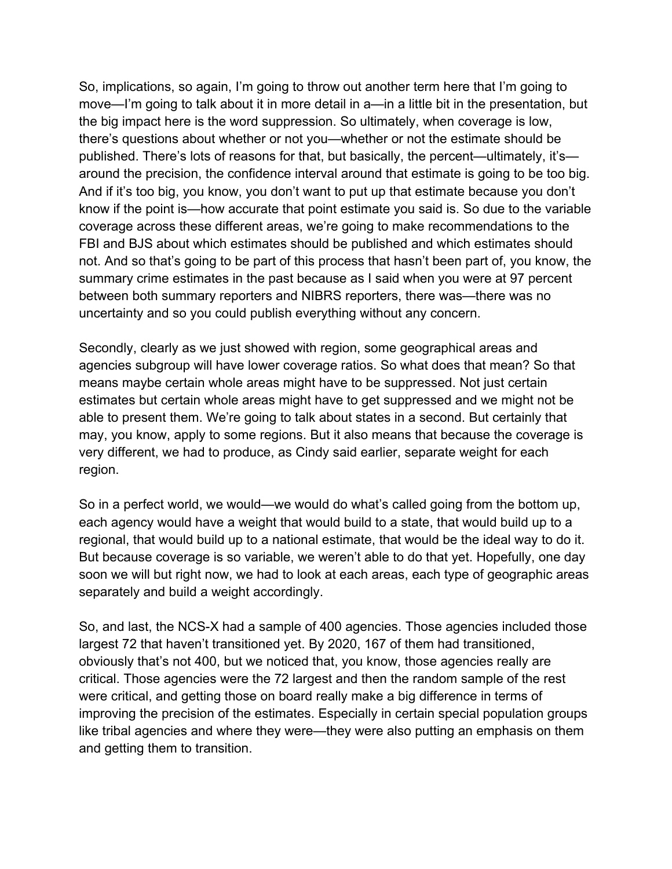So, implications, so again, I'm going to throw out another term here that I'm going to move—I'm going to talk about it in more detail in a—in a little bit in the presentation, but the big impact here is the word suppression. So ultimately, when coverage is low, there's questions about whether or not you—whether or not the estimate should be published. There's lots of reasons for that, but basically, the percent—ultimately, it's around the precision, the confidence interval around that estimate is going to be too big. And if it's too big, you know, you don't want to put up that estimate because you don't know if the point is—how accurate that point estimate you said is. So due to the variable coverage across these different areas, we're going to make recommendations to the FBI and BJS about which estimates should be published and which estimates should not. And so that's going to be part of this process that hasn't been part of, you know, the summary crime estimates in the past because as I said when you were at 97 percent between both summary reporters and NIBRS reporters, there was—there was no uncertainty and so you could publish everything without any concern.

Secondly, clearly as we just showed with region, some geographical areas and agencies subgroup will have lower coverage ratios. So what does that mean? So that means maybe certain whole areas might have to be suppressed. Not just certain estimates but certain whole areas might have to get suppressed and we might not be able to present them. We're going to talk about states in a second. But certainly that may, you know, apply to some regions. But it also means that because the coverage is very different, we had to produce, as Cindy said earlier, separate weight for each region.

So in a perfect world, we would—we would do what's called going from the bottom up, each agency would have a weight that would build to a state, that would build up to a regional, that would build up to a national estimate, that would be the ideal way to do it. But because coverage is so variable, we weren't able to do that yet. Hopefully, one day soon we will but right now, we had to look at each areas, each type of geographic areas separately and build a weight accordingly.

So, and last, the NCS-X had a sample of 400 agencies. Those agencies included those largest 72 that haven't transitioned yet. By 2020, 167 of them had transitioned, obviously that's not 400, but we noticed that, you know, those agencies really are critical. Those agencies were the 72 largest and then the random sample of the rest were critical, and getting those on board really make a big difference in terms of improving the precision of the estimates. Especially in certain special population groups like tribal agencies and where they were—they were also putting an emphasis on them and getting them to transition.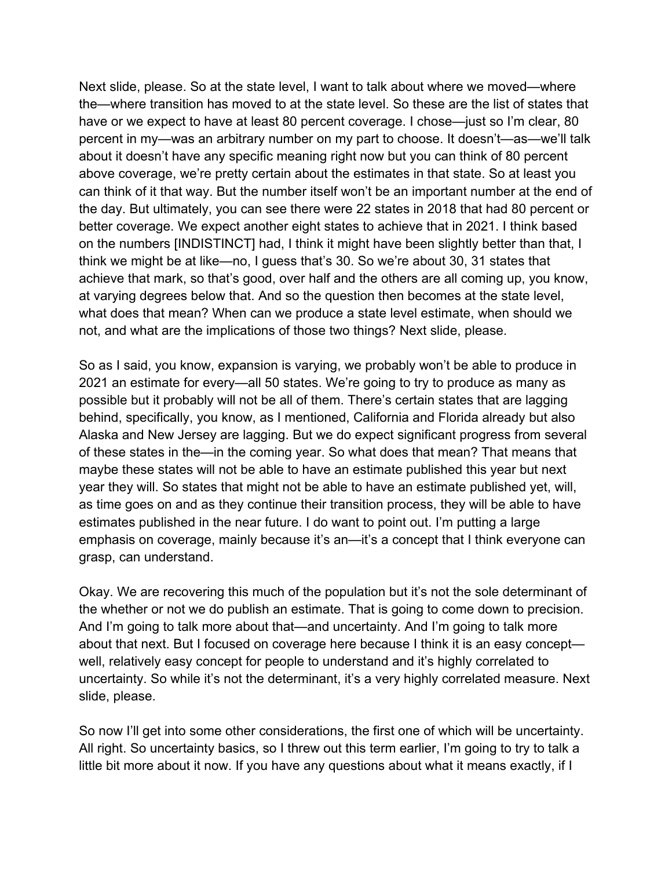Next slide, please. So at the state level, I want to talk about where we moved—where the—where transition has moved to at the state level. So these are the list of states that have or we expect to have at least 80 percent coverage. I chose—just so I'm clear, 80 percent in my—was an arbitrary number on my part to choose. It doesn't—as—we'll talk about it doesn't have any specific meaning right now but you can think of 80 percent above coverage, we're pretty certain about the estimates in that state. So at least you can think of it that way. But the number itself won't be an important number at the end of the day. But ultimately, you can see there were 22 states in 2018 that had 80 percent or better coverage. We expect another eight states to achieve that in 2021. I think based on the numbers [INDISTINCT] had, I think it might have been slightly better than that, I think we might be at like—no, I guess that's 30. So we're about 30, 31 states that achieve that mark, so that's good, over half and the others are all coming up, you know, at varying degrees below that. And so the question then becomes at the state level, what does that mean? When can we produce a state level estimate, when should we not, and what are the implications of those two things? Next slide, please.

So as I said, you know, expansion is varying, we probably won't be able to produce in 2021 an estimate for every—all 50 states. We're going to try to produce as many as possible but it probably will not be all of them. There's certain states that are lagging behind, specifically, you know, as I mentioned, California and Florida already but also Alaska and New Jersey are lagging. But we do expect significant progress from several of these states in the—in the coming year. So what does that mean? That means that maybe these states will not be able to have an estimate published this year but next year they will. So states that might not be able to have an estimate published yet, will, as time goes on and as they continue their transition process, they will be able to have estimates published in the near future. I do want to point out. I'm putting a large emphasis on coverage, mainly because it's an—it's a concept that I think everyone can grasp, can understand.

Okay. We are recovering this much of the population but it's not the sole determinant of the whether or not we do publish an estimate. That is going to come down to precision. And I'm going to talk more about that—and uncertainty. And I'm going to talk more about that next. But I focused on coverage here because I think it is an easy concept well, relatively easy concept for people to understand and it's highly correlated to uncertainty. So while it's not the determinant, it's a very highly correlated measure. Next slide, please.

So now I'll get into some other considerations, the first one of which will be uncertainty. All right. So uncertainty basics, so I threw out this term earlier, I'm going to try to talk a little bit more about it now. If you have any questions about what it means exactly, if I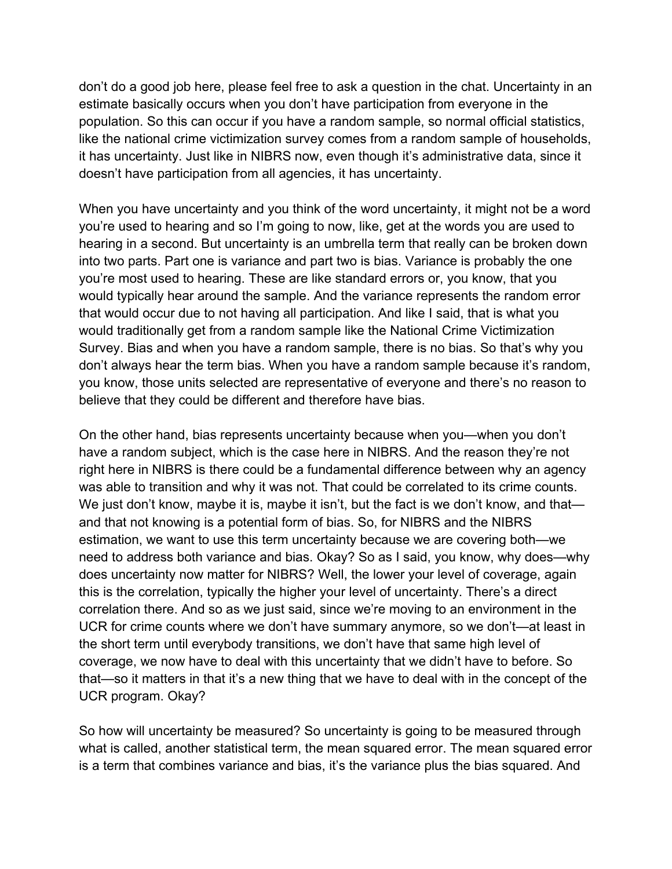don't do a good job here, please feel free to ask a question in the chat. Uncertainty in an estimate basically occurs when you don't have participation from everyone in the population. So this can occur if you have a random sample, so normal official statistics, like the national crime victimization survey comes from a random sample of households, it has uncertainty. Just like in NIBRS now, even though it's administrative data, since it doesn't have participation from all agencies, it has uncertainty.

When you have uncertainty and you think of the word uncertainty, it might not be a word you're used to hearing and so I'm going to now, like, get at the words you are used to hearing in a second. But uncertainty is an umbrella term that really can be broken down into two parts. Part one is variance and part two is bias. Variance is probably the one you're most used to hearing. These are like standard errors or, you know, that you would typically hear around the sample. And the variance represents the random error that would occur due to not having all participation. And like I said, that is what you would traditionally get from a random sample like the National Crime Victimization Survey. Bias and when you have a random sample, there is no bias. So that's why you don't always hear the term bias. When you have a random sample because it's random, you know, those units selected are representative of everyone and there's no reason to believe that they could be different and therefore have bias.

On the other hand, bias represents uncertainty because when you—when you don't have a random subject, which is the case here in NIBRS. And the reason they're not right here in NIBRS is there could be a fundamental difference between why an agency was able to transition and why it was not. That could be correlated to its crime counts. We just don't know, maybe it is, maybe it isn't, but the fact is we don't know, and that and that not knowing is a potential form of bias. So, for NIBRS and the NIBRS estimation, we want to use this term uncertainty because we are covering both—we need to address both variance and bias. Okay? So as I said, you know, why does—why does uncertainty now matter for NIBRS? Well, the lower your level of coverage, again this is the correlation, typically the higher your level of uncertainty. There's a direct correlation there. And so as we just said, since we're moving to an environment in the UCR for crime counts where we don't have summary anymore, so we don't—at least in the short term until everybody transitions, we don't have that same high level of coverage, we now have to deal with this uncertainty that we didn't have to before. So that—so it matters in that it's a new thing that we have to deal with in the concept of the UCR program. Okay?

So how will uncertainty be measured? So uncertainty is going to be measured through what is called, another statistical term, the mean squared error. The mean squared error is a term that combines variance and bias, it's the variance plus the bias squared. And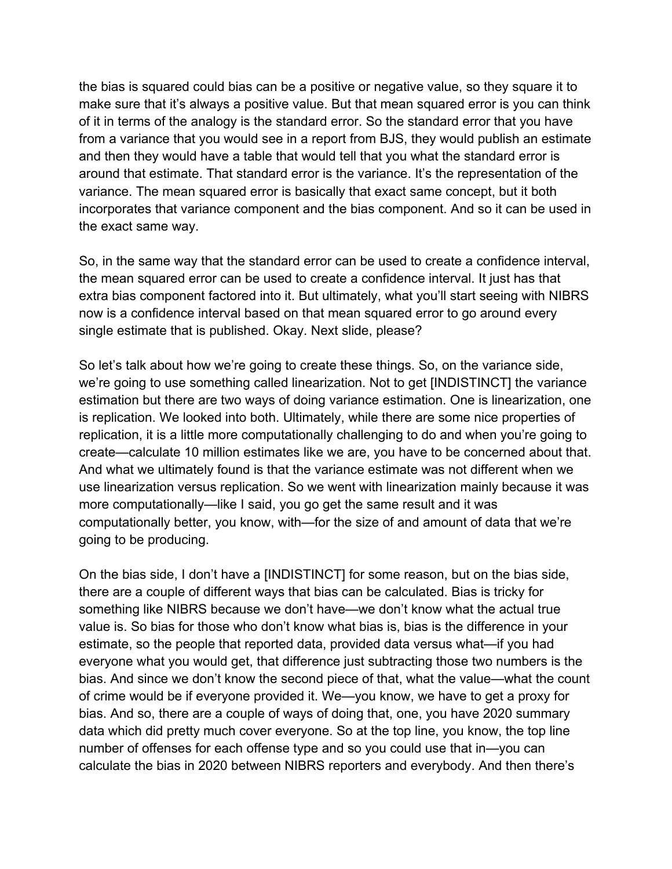the bias is squared could bias can be a positive or negative value, so they square it to make sure that it's always a positive value. But that mean squared error is you can think of it in terms of the analogy is the standard error. So the standard error that you have from a variance that you would see in a report from BJS, they would publish an estimate and then they would have a table that would tell that you what the standard error is around that estimate. That standard error is the variance. It's the representation of the variance. The mean squared error is basically that exact same concept, but it both incorporates that variance component and the bias component. And so it can be used in the exact same way.

So, in the same way that the standard error can be used to create a confidence interval, the mean squared error can be used to create a confidence interval. It just has that extra bias component factored into it. But ultimately, what you'll start seeing with NIBRS now is a confidence interval based on that mean squared error to go around every single estimate that is published. Okay. Next slide, please?

So let's talk about how we're going to create these things. So, on the variance side, we're going to use something called linearization. Not to get [INDISTINCT] the variance estimation but there are two ways of doing variance estimation. One is linearization, one is replication. We looked into both. Ultimately, while there are some nice properties of replication, it is a little more computationally challenging to do and when you're going to create—calculate 10 million estimates like we are, you have to be concerned about that. And what we ultimately found is that the variance estimate was not different when we use linearization versus replication. So we went with linearization mainly because it was more computationally—like I said, you go get the same result and it was computationally better, you know, with—for the size of and amount of data that we're going to be producing.

On the bias side, I don't have a [INDISTINCT] for some reason, but on the bias side, there are a couple of different ways that bias can be calculated. Bias is tricky for something like NIBRS because we don't have—we don't know what the actual true value is. So bias for those who don't know what bias is, bias is the difference in your estimate, so the people that reported data, provided data versus what—if you had everyone what you would get, that difference just subtracting those two numbers is the bias. And since we don't know the second piece of that, what the value—what the count of crime would be if everyone provided it. We—you know, we have to get a proxy for bias. And so, there are a couple of ways of doing that, one, you have 2020 summary data which did pretty much cover everyone. So at the top line, you know, the top line number of offenses for each offense type and so you could use that in—you can calculate the bias in 2020 between NIBRS reporters and everybody. And then there's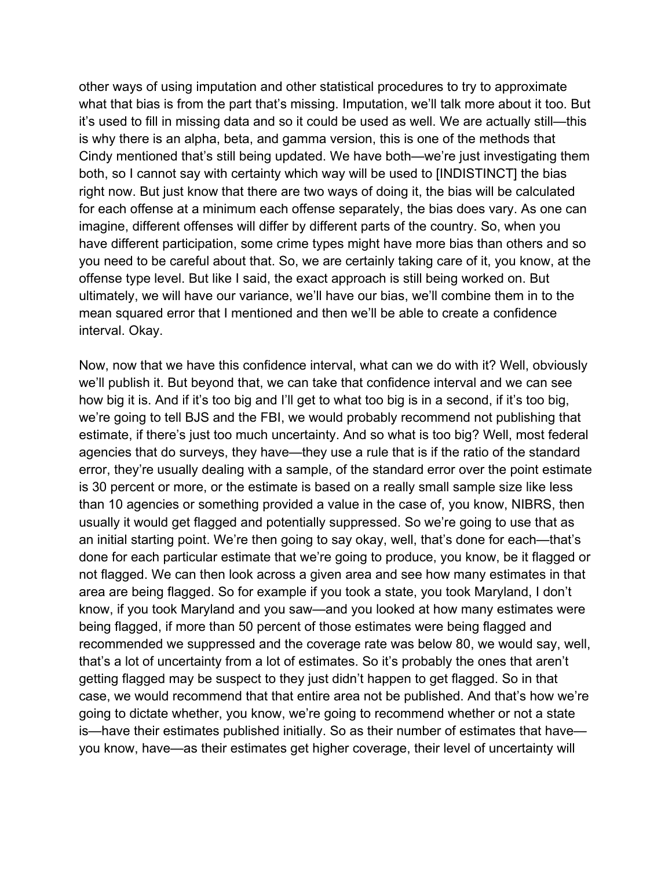other ways of using imputation and other statistical procedures to try to approximate what that bias is from the part that's missing. Imputation, we'll talk more about it too. But it's used to fill in missing data and so it could be used as well. We are actually still—this is why there is an alpha, beta, and gamma version, this is one of the methods that Cindy mentioned that's still being updated. We have both—we're just investigating them both, so I cannot say with certainty which way will be used to [INDISTINCT] the bias right now. But just know that there are two ways of doing it, the bias will be calculated for each offense at a minimum each offense separately, the bias does vary. As one can imagine, different offenses will differ by different parts of the country. So, when you have different participation, some crime types might have more bias than others and so you need to be careful about that. So, we are certainly taking care of it, you know, at the offense type level. But like I said, the exact approach is still being worked on. But ultimately, we will have our variance, we'll have our bias, we'll combine them in to the mean squared error that I mentioned and then we'll be able to create a confidence interval. Okay.

Now, now that we have this confidence interval, what can we do with it? Well, obviously we'll publish it. But beyond that, we can take that confidence interval and we can see how big it is. And if it's too big and I'll get to what too big is in a second, if it's too big, we're going to tell BJS and the FBI, we would probably recommend not publishing that estimate, if there's just too much uncertainty. And so what is too big? Well, most federal agencies that do surveys, they have—they use a rule that is if the ratio of the standard error, they're usually dealing with a sample, of the standard error over the point estimate is 30 percent or more, or the estimate is based on a really small sample size like less than 10 agencies or something provided a value in the case of, you know, NIBRS, then usually it would get flagged and potentially suppressed. So we're going to use that as an initial starting point. We're then going to say okay, well, that's done for each—that's done for each particular estimate that we're going to produce, you know, be it flagged or not flagged. We can then look across a given area and see how many estimates in that area are being flagged. So for example if you took a state, you took Maryland, I don't know, if you took Maryland and you saw—and you looked at how many estimates were being flagged, if more than 50 percent of those estimates were being flagged and recommended we suppressed and the coverage rate was below 80, we would say, well, that's a lot of uncertainty from a lot of estimates. So it's probably the ones that aren't getting flagged may be suspect to they just didn't happen to get flagged. So in that case, we would recommend that that entire area not be published. And that's how we're going to dictate whether, you know, we're going to recommend whether or not a state is—have their estimates published initially. So as their number of estimates that have you know, have—as their estimates get higher coverage, their level of uncertainty will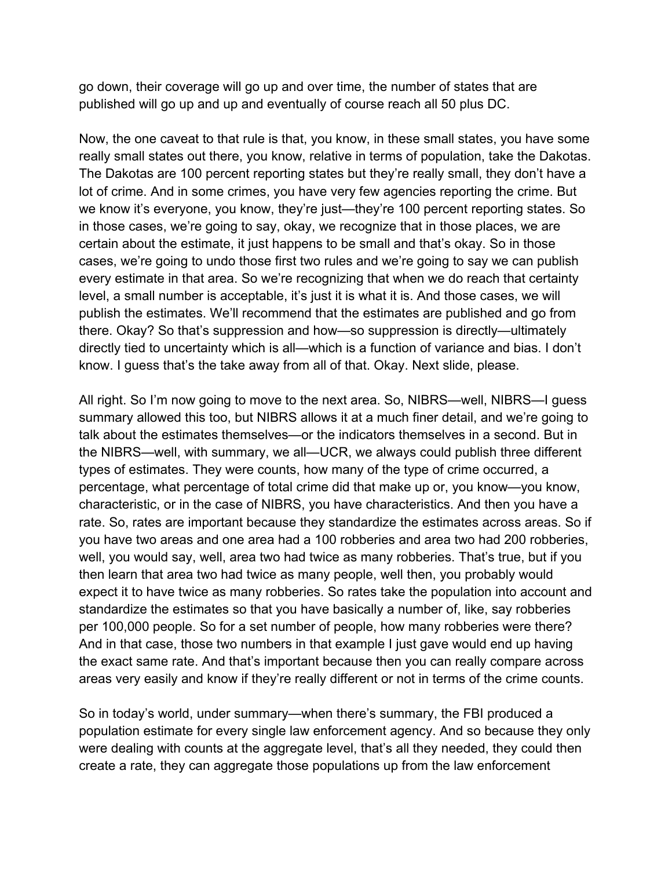go down, their coverage will go up and over time, the number of states that are published will go up and up and eventually of course reach all 50 plus DC.

Now, the one caveat to that rule is that, you know, in these small states, you have some really small states out there, you know, relative in terms of population, take the Dakotas. The Dakotas are 100 percent reporting states but they're really small, they don't have a lot of crime. And in some crimes, you have very few agencies reporting the crime. But we know it's everyone, you know, they're just—they're 100 percent reporting states. So in those cases, we're going to say, okay, we recognize that in those places, we are certain about the estimate, it just happens to be small and that's okay. So in those cases, we're going to undo those first two rules and we're going to say we can publish every estimate in that area. So we're recognizing that when we do reach that certainty level, a small number is acceptable, it's just it is what it is. And those cases, we will publish the estimates. We'll recommend that the estimates are published and go from there. Okay? So that's suppression and how—so suppression is directly—ultimately directly tied to uncertainty which is all—which is a function of variance and bias. I don't know. I guess that's the take away from all of that. Okay. Next slide, please.

All right. So I'm now going to move to the next area. So, NIBRS—well, NIBRS—I guess summary allowed this too, but NIBRS allows it at a much finer detail, and we're going to talk about the estimates themselves—or the indicators themselves in a second. But in the NIBRS—well, with summary, we all—UCR, we always could publish three different types of estimates. They were counts, how many of the type of crime occurred, a percentage, what percentage of total crime did that make up or, you know—you know, characteristic, or in the case of NIBRS, you have characteristics. And then you have a rate. So, rates are important because they standardize the estimates across areas. So if you have two areas and one area had a 100 robberies and area two had 200 robberies, well, you would say, well, area two had twice as many robberies. That's true, but if you then learn that area two had twice as many people, well then, you probably would expect it to have twice as many robberies. So rates take the population into account and standardize the estimates so that you have basically a number of, like, say robberies per 100,000 people. So for a set number of people, how many robberies were there? And in that case, those two numbers in that example I just gave would end up having the exact same rate. And that's important because then you can really compare across areas very easily and know if they're really different or not in terms of the crime counts.

So in today's world, under summary—when there's summary, the FBI produced a population estimate for every single law enforcement agency. And so because they only were dealing with counts at the aggregate level, that's all they needed, they could then create a rate, they can aggregate those populations up from the law enforcement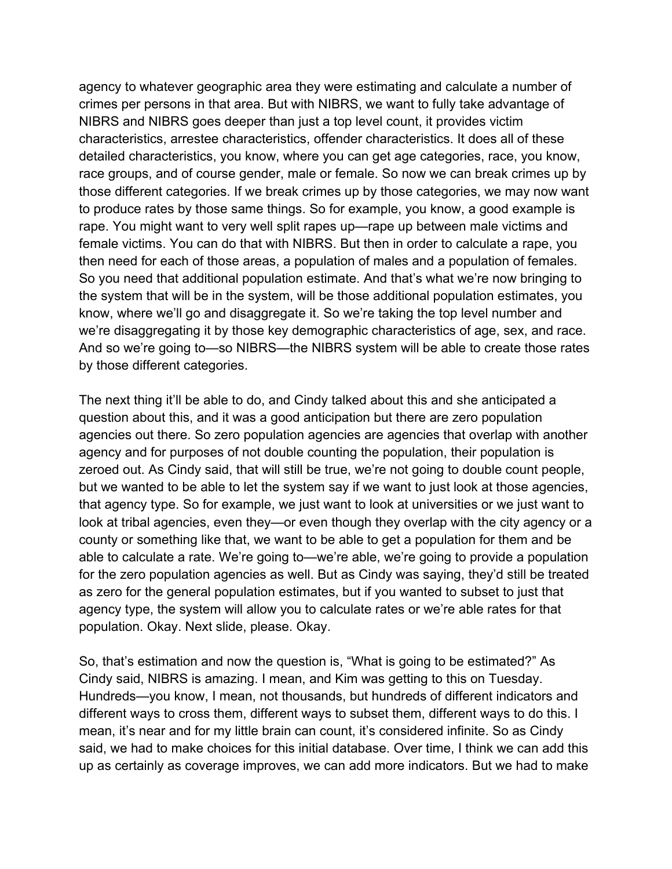agency to whatever geographic area they were estimating and calculate a number of crimes per persons in that area. But with NIBRS, we want to fully take advantage of NIBRS and NIBRS goes deeper than just a top level count, it provides victim characteristics, arrestee characteristics, offender characteristics. It does all of these detailed characteristics, you know, where you can get age categories, race, you know, race groups, and of course gender, male or female. So now we can break crimes up by those different categories. If we break crimes up by those categories, we may now want to produce rates by those same things. So for example, you know, a good example is rape. You might want to very well split rapes up—rape up between male victims and female victims. You can do that with NIBRS. But then in order to calculate a rape, you then need for each of those areas, a population of males and a population of females. So you need that additional population estimate. And that's what we're now bringing to the system that will be in the system, will be those additional population estimates, you know, where we'll go and disaggregate it. So we're taking the top level number and we're disaggregating it by those key demographic characteristics of age, sex, and race. And so we're going to—so NIBRS—the NIBRS system will be able to create those rates by those different categories.

The next thing it'll be able to do, and Cindy talked about this and she anticipated a question about this, and it was a good anticipation but there are zero population agencies out there. So zero population agencies are agencies that overlap with another agency and for purposes of not double counting the population, their population is zeroed out. As Cindy said, that will still be true, we're not going to double count people, but we wanted to be able to let the system say if we want to just look at those agencies, that agency type. So for example, we just want to look at universities or we just want to look at tribal agencies, even they—or even though they overlap with the city agency or a county or something like that, we want to be able to get a population for them and be able to calculate a rate. We're going to—we're able, we're going to provide a population for the zero population agencies as well. But as Cindy was saying, they'd still be treated as zero for the general population estimates, but if you wanted to subset to just that agency type, the system will allow you to calculate rates or we're able rates for that population. Okay. Next slide, please. Okay.

So, that's estimation and now the question is, "What is going to be estimated?" As Cindy said, NIBRS is amazing. I mean, and Kim was getting to this on Tuesday. Hundreds—you know, I mean, not thousands, but hundreds of different indicators and different ways to cross them, different ways to subset them, different ways to do this. I mean, it's near and for my little brain can count, it's considered infinite. So as Cindy said, we had to make choices for this initial database. Over time, I think we can add this up as certainly as coverage improves, we can add more indicators. But we had to make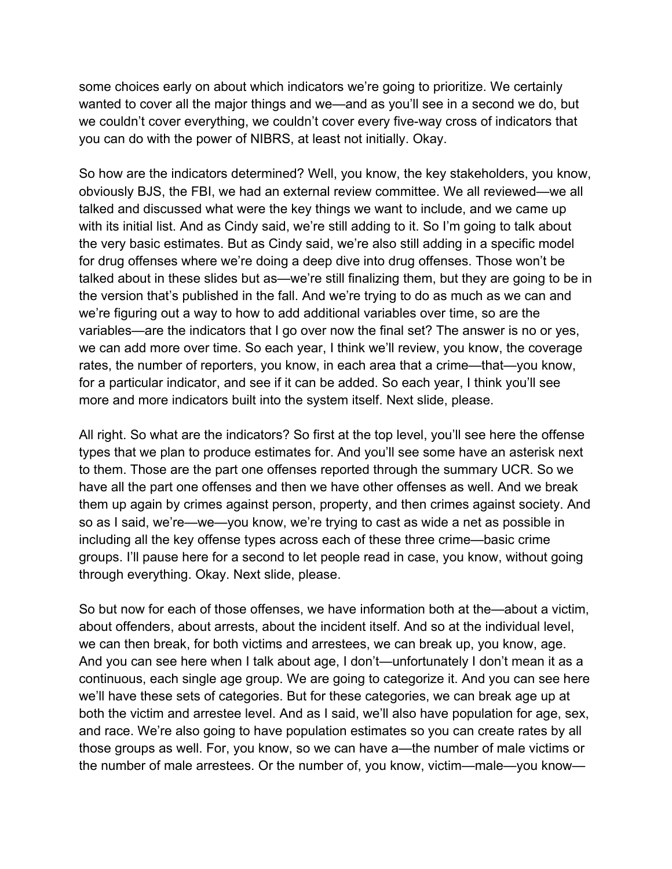some choices early on about which indicators we're going to prioritize. We certainly wanted to cover all the major things and we—and as you'll see in a second we do, but we couldn't cover everything, we couldn't cover every five-way cross of indicators that you can do with the power of NIBRS, at least not initially. Okay.

So how are the indicators determined? Well, you know, the key stakeholders, you know, obviously BJS, the FBI, we had an external review committee. We all reviewed—we all talked and discussed what were the key things we want to include, and we came up with its initial list. And as Cindy said, we're still adding to it. So I'm going to talk about the very basic estimates. But as Cindy said, we're also still adding in a specific model for drug offenses where we're doing a deep dive into drug offenses. Those won't be talked about in these slides but as—we're still finalizing them, but they are going to be in the version that's published in the fall. And we're trying to do as much as we can and we're figuring out a way to how to add additional variables over time, so are the variables—are the indicators that I go over now the final set? The answer is no or yes, we can add more over time. So each year, I think we'll review, you know, the coverage rates, the number of reporters, you know, in each area that a crime—that—you know, for a particular indicator, and see if it can be added. So each year, I think you'll see more and more indicators built into the system itself. Next slide, please.

All right. So what are the indicators? So first at the top level, you'll see here the offense types that we plan to produce estimates for. And you'll see some have an asterisk next to them. Those are the part one offenses reported through the summary UCR. So we have all the part one offenses and then we have other offenses as well. And we break them up again by crimes against person, property, and then crimes against society. And so as I said, we're—we—you know, we're trying to cast as wide a net as possible in including all the key offense types across each of these three crime—basic crime groups. I'll pause here for a second to let people read in case, you know, without going through everything. Okay. Next slide, please.

So but now for each of those offenses, we have information both at the—about a victim, about offenders, about arrests, about the incident itself. And so at the individual level, we can then break, for both victims and arrestees, we can break up, you know, age. And you can see here when I talk about age, I don't—unfortunately I don't mean it as a continuous, each single age group. We are going to categorize it. And you can see here we'll have these sets of categories. But for these categories, we can break age up at both the victim and arrestee level. And as I said, we'll also have population for age, sex, and race. We're also going to have population estimates so you can create rates by all those groups as well. For, you know, so we can have a—the number of male victims or the number of male arrestees. Or the number of, you know, victim—male—you know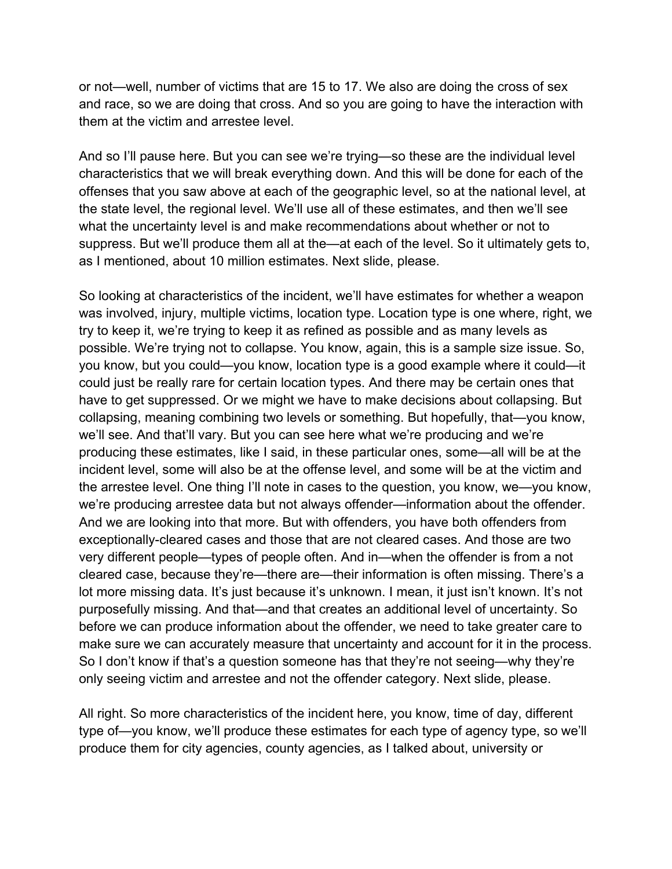or not—well, number of victims that are 15 to 17. We also are doing the cross of sex and race, so we are doing that cross. And so you are going to have the interaction with them at the victim and arrestee level.

And so I'll pause here. But you can see we're trying—so these are the individual level characteristics that we will break everything down. And this will be done for each of the offenses that you saw above at each of the geographic level, so at the national level, at the state level, the regional level. We'll use all of these estimates, and then we'll see what the uncertainty level is and make recommendations about whether or not to suppress. But we'll produce them all at the—at each of the level. So it ultimately gets to, as I mentioned, about 10 million estimates. Next slide, please.

So looking at characteristics of the incident, we'll have estimates for whether a weapon was involved, injury, multiple victims, location type. Location type is one where, right, we try to keep it, we're trying to keep it as refined as possible and as many levels as possible. We're trying not to collapse. You know, again, this is a sample size issue. So, you know, but you could—you know, location type is a good example where it could—it could just be really rare for certain location types. And there may be certain ones that have to get suppressed. Or we might we have to make decisions about collapsing. But collapsing, meaning combining two levels or something. But hopefully, that—you know, we'll see. And that'll vary. But you can see here what we're producing and we're producing these estimates, like I said, in these particular ones, some—all will be at the incident level, some will also be at the offense level, and some will be at the victim and the arrestee level. One thing I'll note in cases to the question, you know, we—you know, we're producing arrestee data but not always offender—information about the offender. And we are looking into that more. But with offenders, you have both offenders from exceptionally-cleared cases and those that are not cleared cases. And those are two very different people—types of people often. And in—when the offender is from a not cleared case, because they're—there are—their information is often missing. There's a lot more missing data. It's just because it's unknown. I mean, it just isn't known. It's not purposefully missing. And that—and that creates an additional level of uncertainty. So before we can produce information about the offender, we need to take greater care to make sure we can accurately measure that uncertainty and account for it in the process. So I don't know if that's a question someone has that they're not seeing—why they're only seeing victim and arrestee and not the offender category. Next slide, please.

All right. So more characteristics of the incident here, you know, time of day, different type of—you know, we'll produce these estimates for each type of agency type, so we'll produce them for city agencies, county agencies, as I talked about, university or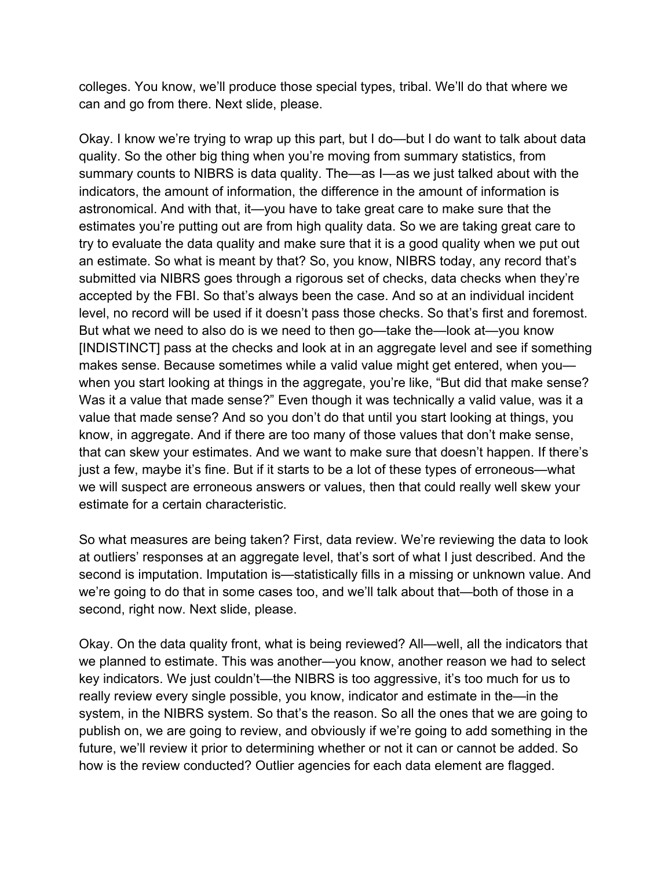colleges. You know, we'll produce those special types, tribal. We'll do that where we can and go from there. Next slide, please.

Okay. I know we're trying to wrap up this part, but I do—but I do want to talk about data quality. So the other big thing when you're moving from summary statistics, from summary counts to NIBRS is data quality. The—as I—as we just talked about with the indicators, the amount of information, the difference in the amount of information is astronomical. And with that, it—you have to take great care to make sure that the estimates you're putting out are from high quality data. So we are taking great care to try to evaluate the data quality and make sure that it is a good quality when we put out an estimate. So what is meant by that? So, you know, NIBRS today, any record that's submitted via NIBRS goes through a rigorous set of checks, data checks when they're accepted by the FBI. So that's always been the case. And so at an individual incident level, no record will be used if it doesn't pass those checks. So that's first and foremost. But what we need to also do is we need to then go—take the—look at—you know [INDISTINCT] pass at the checks and look at in an aggregate level and see if something makes sense. Because sometimes while a valid value might get entered, when you when you start looking at things in the aggregate, you're like, "But did that make sense? Was it a value that made sense?" Even though it was technically a valid value, was it a value that made sense? And so you don't do that until you start looking at things, you know, in aggregate. And if there are too many of those values that don't make sense, that can skew your estimates. And we want to make sure that doesn't happen. If there's just a few, maybe it's fine. But if it starts to be a lot of these types of erroneous—what we will suspect are erroneous answers or values, then that could really well skew your estimate for a certain characteristic.

So what measures are being taken? First, data review. We're reviewing the data to look at outliers' responses at an aggregate level, that's sort of what I just described. And the second is imputation. Imputation is—statistically fills in a missing or unknown value. And we're going to do that in some cases too, and we'll talk about that—both of those in a second, right now. Next slide, please.

Okay. On the data quality front, what is being reviewed? All—well, all the indicators that we planned to estimate. This was another—you know, another reason we had to select key indicators. We just couldn't—the NIBRS is too aggressive, it's too much for us to really review every single possible, you know, indicator and estimate in the—in the system, in the NIBRS system. So that's the reason. So all the ones that we are going to publish on, we are going to review, and obviously if we're going to add something in the future, we'll review it prior to determining whether or not it can or cannot be added. So how is the review conducted? Outlier agencies for each data element are flagged.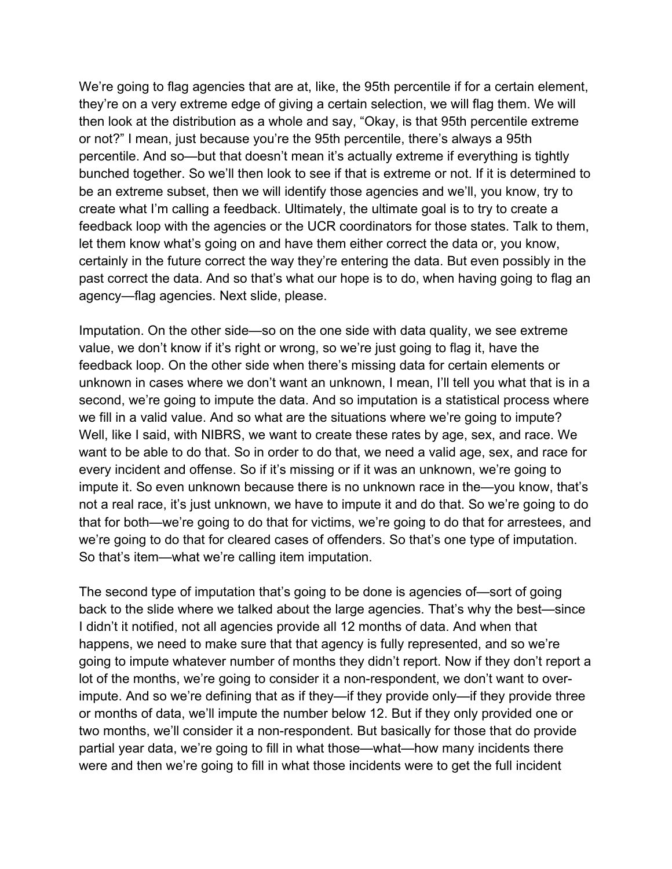We're going to flag agencies that are at, like, the 95th percentile if for a certain element, they're on a very extreme edge of giving a certain selection, we will flag them. We will then look at the distribution as a whole and say, "Okay, is that 95th percentile extreme or not?" I mean, just because you're the 95th percentile, there's always a 95th percentile. And so—but that doesn't mean it's actually extreme if everything is tightly bunched together. So we'll then look to see if that is extreme or not. If it is determined to be an extreme subset, then we will identify those agencies and we'll, you know, try to create what I'm calling a feedback. Ultimately, the ultimate goal is to try to create a feedback loop with the agencies or the UCR coordinators for those states. Talk to them, let them know what's going on and have them either correct the data or, you know, certainly in the future correct the way they're entering the data. But even possibly in the past correct the data. And so that's what our hope is to do, when having going to flag an agency—flag agencies. Next slide, please.

Imputation. On the other side—so on the one side with data quality, we see extreme value, we don't know if it's right or wrong, so we're just going to flag it, have the feedback loop. On the other side when there's missing data for certain elements or unknown in cases where we don't want an unknown, I mean, I'll tell you what that is in a second, we're going to impute the data. And so imputation is a statistical process where we fill in a valid value. And so what are the situations where we're going to impute? Well, like I said, with NIBRS, we want to create these rates by age, sex, and race. We want to be able to do that. So in order to do that, we need a valid age, sex, and race for every incident and offense. So if it's missing or if it was an unknown, we're going to impute it. So even unknown because there is no unknown race in the—you know, that's not a real race, it's just unknown, we have to impute it and do that. So we're going to do that for both—we're going to do that for victims, we're going to do that for arrestees, and we're going to do that for cleared cases of offenders. So that's one type of imputation. So that's item—what we're calling item imputation.

The second type of imputation that's going to be done is agencies of—sort of going back to the slide where we talked about the large agencies. That's why the best—since I didn't it notified, not all agencies provide all 12 months of data. And when that happens, we need to make sure that that agency is fully represented, and so we're going to impute whatever number of months they didn't report. Now if they don't report a lot of the months, we're going to consider it a non-respondent, we don't want to overimpute. And so we're defining that as if they—if they provide only—if they provide three or months of data, we'll impute the number below 12. But if they only provided one or two months, we'll consider it a non-respondent. But basically for those that do provide partial year data, we're going to fill in what those—what—how many incidents there were and then we're going to fill in what those incidents were to get the full incident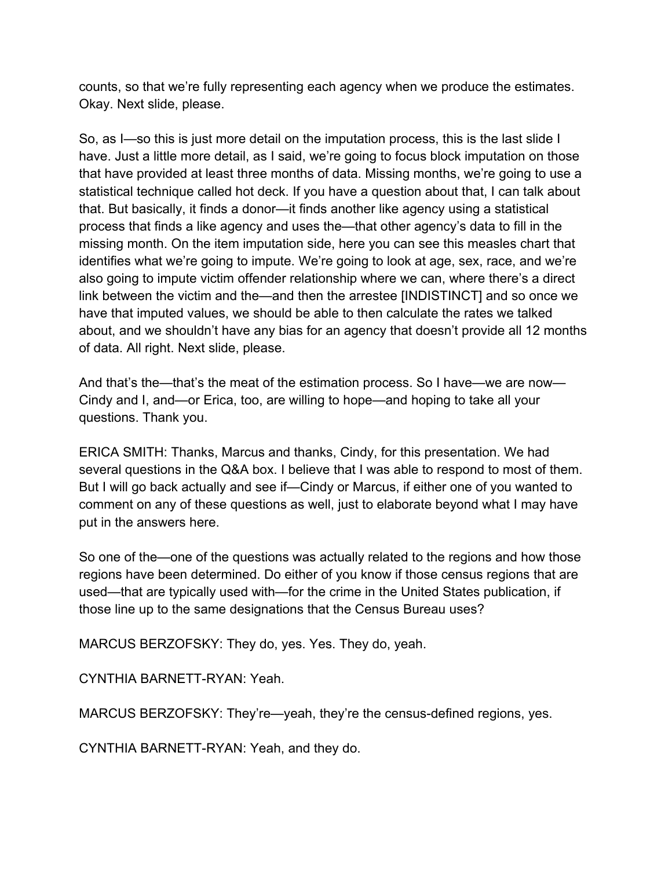counts, so that we're fully representing each agency when we produce the estimates. Okay. Next slide, please.

So, as I—so this is just more detail on the imputation process, this is the last slide I have. Just a little more detail, as I said, we're going to focus block imputation on those that have provided at least three months of data. Missing months, we're going to use a statistical technique called hot deck. If you have a question about that, I can talk about that. But basically, it finds a donor—it finds another like agency using a statistical process that finds a like agency and uses the—that other agency's data to fill in the missing month. On the item imputation side, here you can see this measles chart that identifies what we're going to impute. We're going to look at age, sex, race, and we're also going to impute victim offender relationship where we can, where there's a direct link between the victim and the—and then the arrestee [INDISTINCT] and so once we have that imputed values, we should be able to then calculate the rates we talked about, and we shouldn't have any bias for an agency that doesn't provide all 12 months of data. All right. Next slide, please.

And that's the—that's the meat of the estimation process. So I have—we are now— Cindy and I, and—or Erica, too, are willing to hope—and hoping to take all your questions. Thank you.

ERICA SMITH: Thanks, Marcus and thanks, Cindy, for this presentation. We had several questions in the Q&A box. I believe that I was able to respond to most of them. But I will go back actually and see if—Cindy or Marcus, if either one of you wanted to comment on any of these questions as well, just to elaborate beyond what I may have put in the answers here.

So one of the—one of the questions was actually related to the regions and how those regions have been determined. Do either of you know if those census regions that are used—that are typically used with—for the crime in the United States publication, if those line up to the same designations that the Census Bureau uses?

MARCUS BERZOFSKY: They do, yes. Yes. They do, yeah.

CYNTHIA BARNETT-RYAN: Yeah.

MARCUS BERZOFSKY: They're—yeah, they're the census-defined regions, yes.

CYNTHIA BARNETT-RYAN: Yeah, and they do.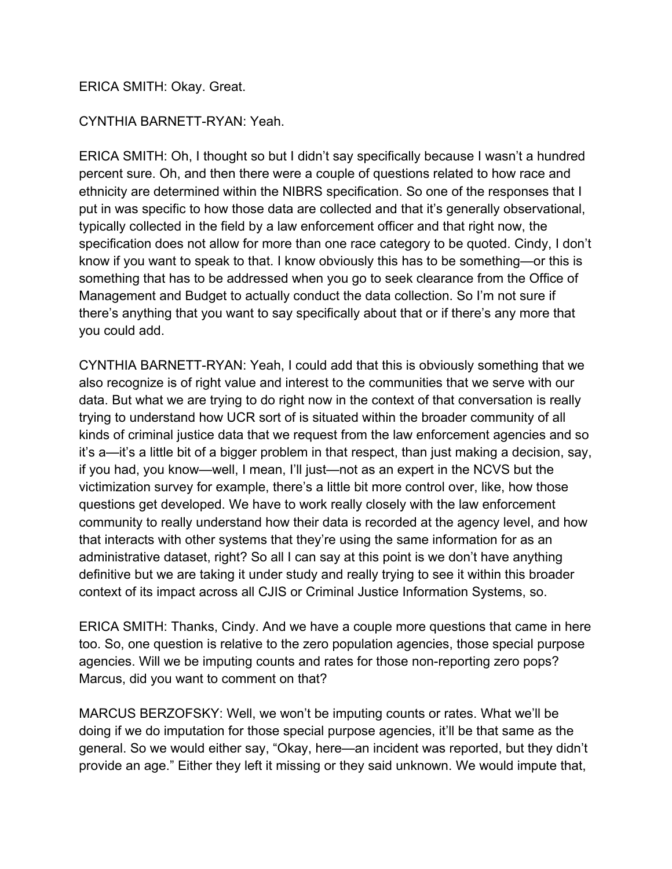## ERICA SMITH: Okay. Great.

## CYNTHIA BARNETT-RYAN: Yeah.

ERICA SMITH: Oh, I thought so but I didn't say specifically because I wasn't a hundred percent sure. Oh, and then there were a couple of questions related to how race and ethnicity are determined within the NIBRS specification. So one of the responses that I put in was specific to how those data are collected and that it's generally observational, typically collected in the field by a law enforcement officer and that right now, the specification does not allow for more than one race category to be quoted. Cindy, I don't know if you want to speak to that. I know obviously this has to be something—or this is something that has to be addressed when you go to seek clearance from the Office of Management and Budget to actually conduct the data collection. So I'm not sure if there's anything that you want to say specifically about that or if there's any more that you could add.

CYNTHIA BARNETT-RYAN: Yeah, I could add that this is obviously something that we also recognize is of right value and interest to the communities that we serve with our data. But what we are trying to do right now in the context of that conversation is really trying to understand how UCR sort of is situated within the broader community of all kinds of criminal justice data that we request from the law enforcement agencies and so it's a—it's a little bit of a bigger problem in that respect, than just making a decision, say, if you had, you know—well, I mean, I'll just—not as an expert in the NCVS but the victimization survey for example, there's a little bit more control over, like, how those questions get developed. We have to work really closely with the law enforcement community to really understand how their data is recorded at the agency level, and how that interacts with other systems that they're using the same information for as an administrative dataset, right? So all I can say at this point is we don't have anything definitive but we are taking it under study and really trying to see it within this broader context of its impact across all CJIS or Criminal Justice Information Systems, so.

ERICA SMITH: Thanks, Cindy. And we have a couple more questions that came in here too. So, one question is relative to the zero population agencies, those special purpose agencies. Will we be imputing counts and rates for those non-reporting zero pops? Marcus, did you want to comment on that?

MARCUS BERZOFSKY: Well, we won't be imputing counts or rates. What we'll be doing if we do imputation for those special purpose agencies, it'll be that same as the general. So we would either say, "Okay, here—an incident was reported, but they didn't provide an age." Either they left it missing or they said unknown. We would impute that,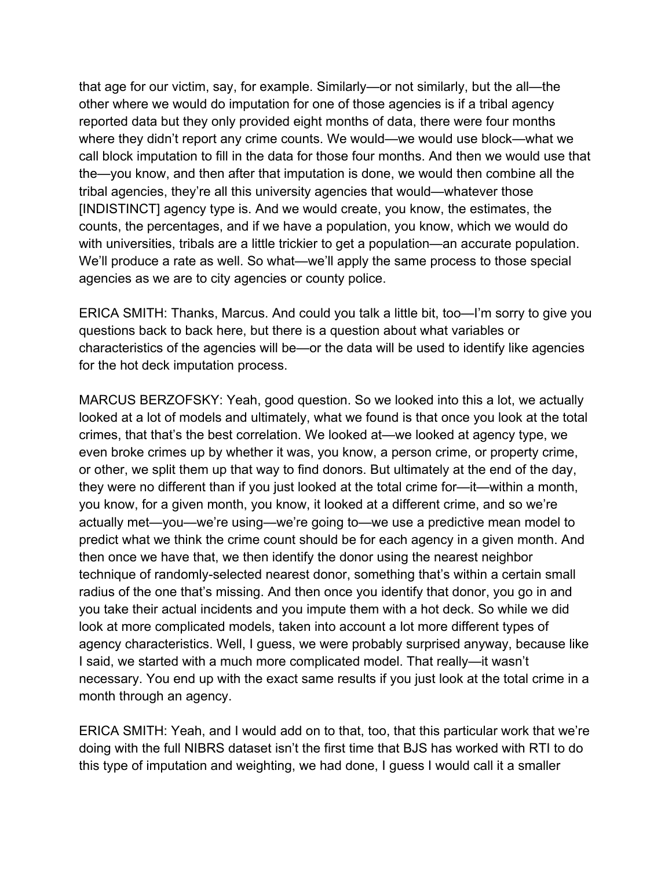that age for our victim, say, for example. Similarly—or not similarly, but the all—the other where we would do imputation for one of those agencies is if a tribal agency reported data but they only provided eight months of data, there were four months where they didn't report any crime counts. We would—we would use block—what we call block imputation to fill in the data for those four months. And then we would use that the—you know, and then after that imputation is done, we would then combine all the tribal agencies, they're all this university agencies that would—whatever those [INDISTINCT] agency type is. And we would create, you know, the estimates, the counts, the percentages, and if we have a population, you know, which we would do with universities, tribals are a little trickier to get a population—an accurate population. We'll produce a rate as well. So what—we'll apply the same process to those special agencies as we are to city agencies or county police.

ERICA SMITH: Thanks, Marcus. And could you talk a little bit, too—I'm sorry to give you questions back to back here, but there is a question about what variables or characteristics of the agencies will be—or the data will be used to identify like agencies for the hot deck imputation process.

MARCUS BERZOFSKY: Yeah, good question. So we looked into this a lot, we actually looked at a lot of models and ultimately, what we found is that once you look at the total crimes, that that's the best correlation. We looked at—we looked at agency type, we even broke crimes up by whether it was, you know, a person crime, or property crime, or other, we split them up that way to find donors. But ultimately at the end of the day, they were no different than if you just looked at the total crime for—it—within a month, you know, for a given month, you know, it looked at a different crime, and so we're actually met—you—we're using—we're going to—we use a predictive mean model to predict what we think the crime count should be for each agency in a given month. And then once we have that, we then identify the donor using the nearest neighbor technique of randomly-selected nearest donor, something that's within a certain small radius of the one that's missing. And then once you identify that donor, you go in and you take their actual incidents and you impute them with a hot deck. So while we did look at more complicated models, taken into account a lot more different types of agency characteristics. Well, I guess, we were probably surprised anyway, because like I said, we started with a much more complicated model. That really—it wasn't necessary. You end up with the exact same results if you just look at the total crime in a month through an agency.

ERICA SMITH: Yeah, and I would add on to that, too, that this particular work that we're doing with the full NIBRS dataset isn't the first time that BJS has worked with RTI to do this type of imputation and weighting, we had done, I guess I would call it a smaller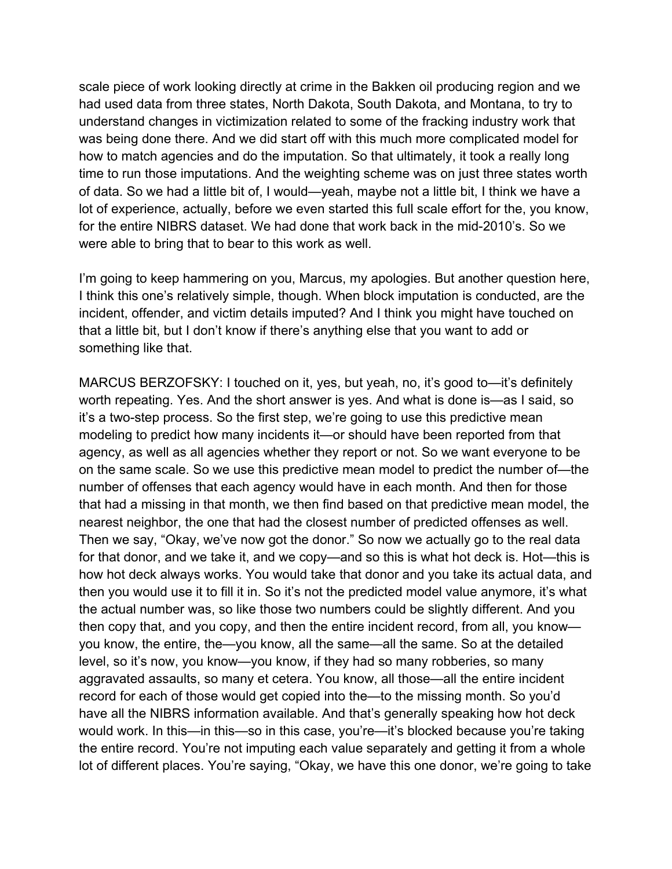scale piece of work looking directly at crime in the Bakken oil producing region and we had used data from three states, North Dakota, South Dakota, and Montana, to try to understand changes in victimization related to some of the fracking industry work that was being done there. And we did start off with this much more complicated model for how to match agencies and do the imputation. So that ultimately, it took a really long time to run those imputations. And the weighting scheme was on just three states worth of data. So we had a little bit of, I would—yeah, maybe not a little bit, I think we have a lot of experience, actually, before we even started this full scale effort for the, you know, for the entire NIBRS dataset. We had done that work back in the mid-2010's. So we were able to bring that to bear to this work as well.

I'm going to keep hammering on you, Marcus, my apologies. But another question here, I think this one's relatively simple, though. When block imputation is conducted, are the incident, offender, and victim details imputed? And I think you might have touched on that a little bit, but I don't know if there's anything else that you want to add or something like that.

MARCUS BERZOFSKY: I touched on it, yes, but yeah, no, it's good to—it's definitely worth repeating. Yes. And the short answer is yes. And what is done is—as I said, so it's a two-step process. So the first step, we're going to use this predictive mean modeling to predict how many incidents it—or should have been reported from that agency, as well as all agencies whether they report or not. So we want everyone to be on the same scale. So we use this predictive mean model to predict the number of—the number of offenses that each agency would have in each month. And then for those that had a missing in that month, we then find based on that predictive mean model, the nearest neighbor, the one that had the closest number of predicted offenses as well. Then we say, "Okay, we've now got the donor." So now we actually go to the real data for that donor, and we take it, and we copy—and so this is what hot deck is. Hot—this is how hot deck always works. You would take that donor and you take its actual data, and then you would use it to fill it in. So it's not the predicted model value anymore, it's what the actual number was, so like those two numbers could be slightly different. And you then copy that, and you copy, and then the entire incident record, from all, you know you know, the entire, the—you know, all the same—all the same. So at the detailed level, so it's now, you know—you know, if they had so many robberies, so many aggravated assaults, so many et cetera. You know, all those—all the entire incident record for each of those would get copied into the—to the missing month. So you'd have all the NIBRS information available. And that's generally speaking how hot deck would work. In this—in this—so in this case, you're—it's blocked because you're taking the entire record. You're not imputing each value separately and getting it from a whole lot of different places. You're saying, "Okay, we have this one donor, we're going to take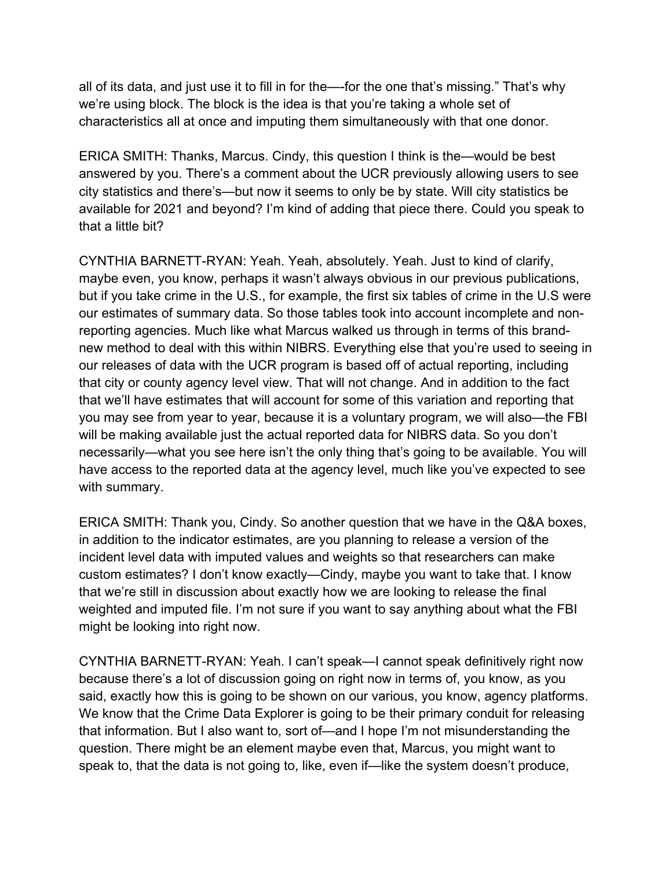all of its data, and just use it to fill in for the—-for the one that's missing." That's why we're using block. The block is the idea is that you're taking a whole set of characteristics all at once and imputing them simultaneously with that one donor.

ERICA SMITH: Thanks, Marcus. Cindy, this question I think is the—would be best answered by you. There's a comment about the UCR previously allowing users to see city statistics and there's—but now it seems to only be by state. Will city statistics be available for 2021 and beyond? I'm kind of adding that piece there. Could you speak to that a little bit?

CYNTHIA BARNETT-RYAN: Yeah. Yeah, absolutely. Yeah. Just to kind of clarify, maybe even, you know, perhaps it wasn't always obvious in our previous publications, but if you take crime in the U.S., for example, the first six tables of crime in the U.S were our estimates of summary data. So those tables took into account incomplete and nonreporting agencies. Much like what Marcus walked us through in terms of this brandnew method to deal with this within NIBRS. Everything else that you're used to seeing in our releases of data with the UCR program is based off of actual reporting, including that city or county agency level view. That will not change. And in addition to the fact that we'll have estimates that will account for some of this variation and reporting that you may see from year to year, because it is a voluntary program, we will also—the FBI will be making available just the actual reported data for NIBRS data. So you don't necessarily—what you see here isn't the only thing that's going to be available. You will have access to the reported data at the agency level, much like you've expected to see with summary.

ERICA SMITH: Thank you, Cindy. So another question that we have in the Q&A boxes, in addition to the indicator estimates, are you planning to release a version of the incident level data with imputed values and weights so that researchers can make custom estimates? I don't know exactly—Cindy, maybe you want to take that. I know that we're still in discussion about exactly how we are looking to release the final weighted and imputed file. I'm not sure if you want to say anything about what the FBI might be looking into right now.

CYNTHIA BARNETT-RYAN: Yeah. I can't speak—I cannot speak definitively right now because there's a lot of discussion going on right now in terms of, you know, as you said, exactly how this is going to be shown on our various, you know, agency platforms. We know that the Crime Data Explorer is going to be their primary conduit for releasing that information. But I also want to, sort of—and I hope I'm not misunderstanding the question. There might be an element maybe even that, Marcus, you might want to speak to, that the data is not going to, like, even if—like the system doesn't produce,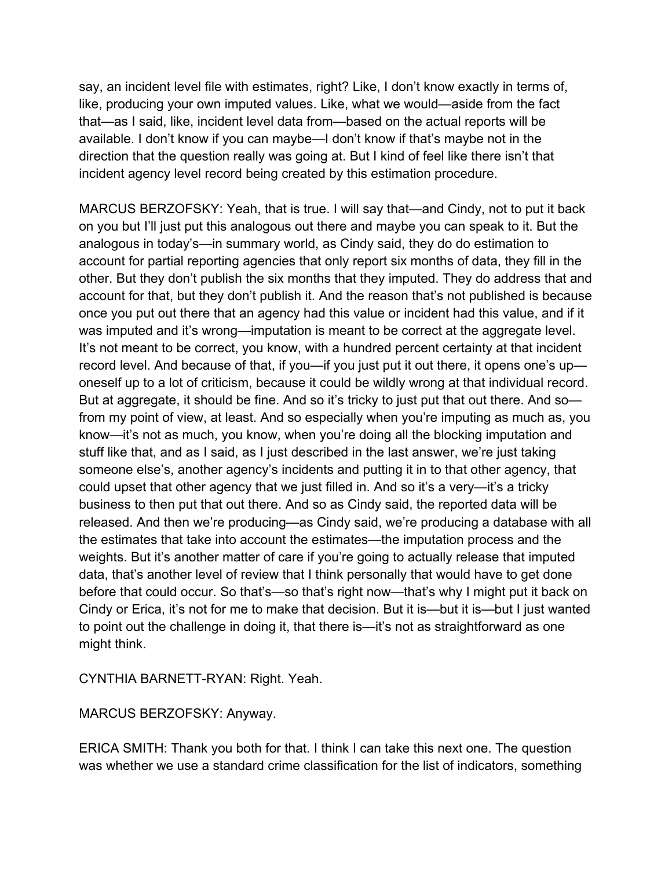say, an incident level file with estimates, right? Like, I don't know exactly in terms of, like, producing your own imputed values. Like, what we would—aside from the fact that—as I said, like, incident level data from—based on the actual reports will be available. I don't know if you can maybe—I don't know if that's maybe not in the direction that the question really was going at. But I kind of feel like there isn't that incident agency level record being created by this estimation procedure.

MARCUS BERZOFSKY: Yeah, that is true. I will say that—and Cindy, not to put it back on you but I'll just put this analogous out there and maybe you can speak to it. But the analogous in today's—in summary world, as Cindy said, they do do estimation to account for partial reporting agencies that only report six months of data, they fill in the other. But they don't publish the six months that they imputed. They do address that and account for that, but they don't publish it. And the reason that's not published is because once you put out there that an agency had this value or incident had this value, and if it was imputed and it's wrong—imputation is meant to be correct at the aggregate level. It's not meant to be correct, you know, with a hundred percent certainty at that incident record level. And because of that, if you—if you just put it out there, it opens one's up oneself up to a lot of criticism, because it could be wildly wrong at that individual record. But at aggregate, it should be fine. And so it's tricky to just put that out there. And sofrom my point of view, at least. And so especially when you're imputing as much as, you know—it's not as much, you know, when you're doing all the blocking imputation and stuff like that, and as I said, as I just described in the last answer, we're just taking someone else's, another agency's incidents and putting it in to that other agency, that could upset that other agency that we just filled in. And so it's a very—it's a tricky business to then put that out there. And so as Cindy said, the reported data will be released. And then we're producing—as Cindy said, we're producing a database with all the estimates that take into account the estimates—the imputation process and the weights. But it's another matter of care if you're going to actually release that imputed data, that's another level of review that I think personally that would have to get done before that could occur. So that's—so that's right now—that's why I might put it back on Cindy or Erica, it's not for me to make that decision. But it is—but it is—but I just wanted to point out the challenge in doing it, that there is—it's not as straightforward as one might think.

CYNTHIA BARNETT-RYAN: Right. Yeah.

MARCUS BERZOFSKY: Anyway.

ERICA SMITH: Thank you both for that. I think I can take this next one. The question was whether we use a standard crime classification for the list of indicators, something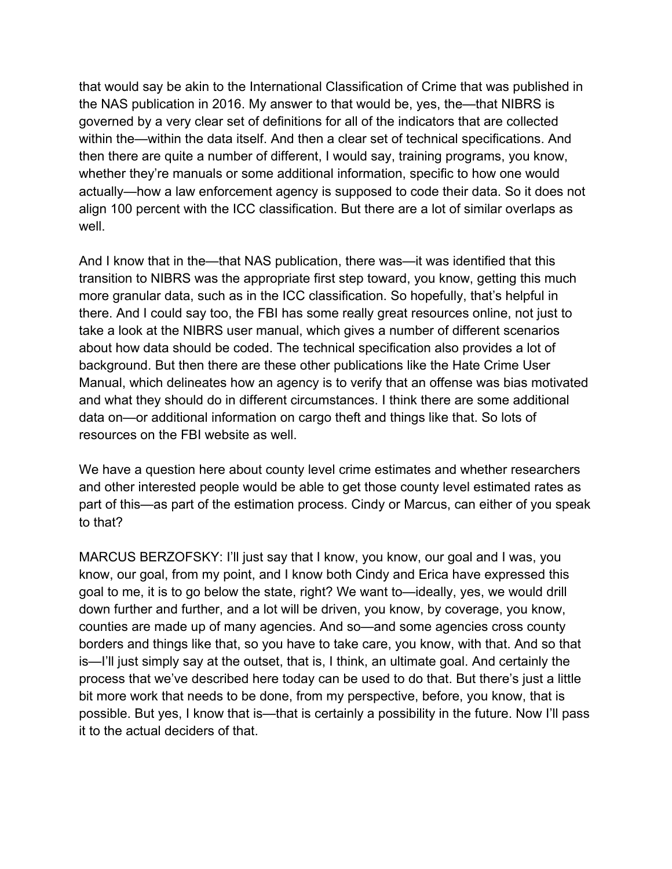that would say be akin to the International Classification of Crime that was published in the NAS publication in 2016. My answer to that would be, yes, the—that NIBRS is governed by a very clear set of definitions for all of the indicators that are collected within the—within the data itself. And then a clear set of technical specifications. And then there are quite a number of different, I would say, training programs, you know, whether they're manuals or some additional information, specific to how one would actually—how a law enforcement agency is supposed to code their data. So it does not align 100 percent with the ICC classification. But there are a lot of similar overlaps as well.

And I know that in the—that NAS publication, there was—it was identified that this transition to NIBRS was the appropriate first step toward, you know, getting this much more granular data, such as in the ICC classification. So hopefully, that's helpful in there. And I could say too, the FBI has some really great resources online, not just to take a look at the NIBRS user manual, which gives a number of different scenarios about how data should be coded. The technical specification also provides a lot of background. But then there are these other publications like the Hate Crime User Manual, which delineates how an agency is to verify that an offense was bias motivated and what they should do in different circumstances. I think there are some additional data on—or additional information on cargo theft and things like that. So lots of resources on the FBI website as well.

We have a question here about county level crime estimates and whether researchers and other interested people would be able to get those county level estimated rates as part of this—as part of the estimation process. Cindy or Marcus, can either of you speak to that?

MARCUS BERZOFSKY: I'll just say that I know, you know, our goal and I was, you know, our goal, from my point, and I know both Cindy and Erica have expressed this goal to me, it is to go below the state, right? We want to—ideally, yes, we would drill down further and further, and a lot will be driven, you know, by coverage, you know, counties are made up of many agencies. And so—and some agencies cross county borders and things like that, so you have to take care, you know, with that. And so that is—I'll just simply say at the outset, that is, I think, an ultimate goal. And certainly the process that we've described here today can be used to do that. But there's just a little bit more work that needs to be done, from my perspective, before, you know, that is possible. But yes, I know that is—that is certainly a possibility in the future. Now I'll pass it to the actual deciders of that.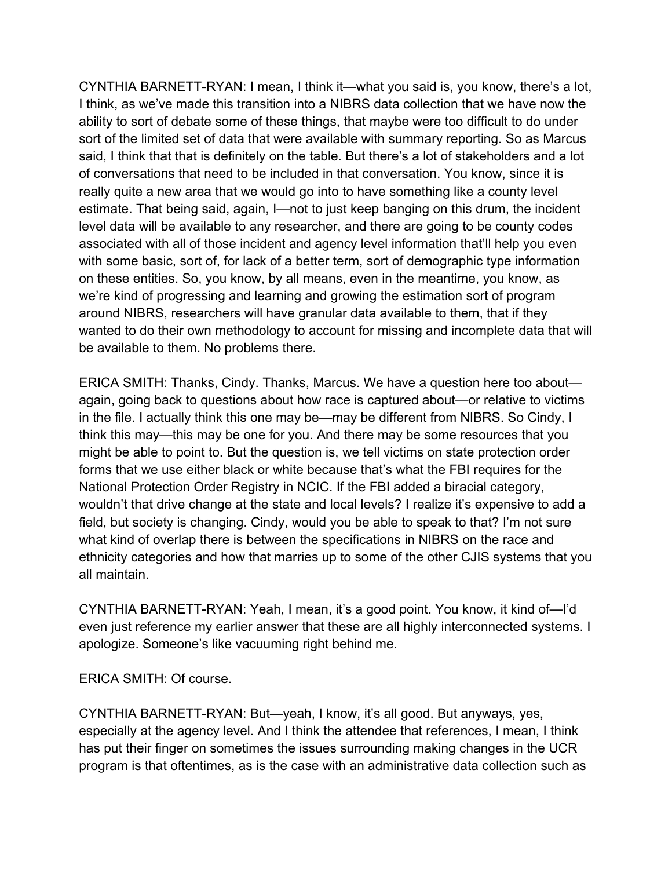CYNTHIA BARNETT-RYAN: I mean, I think it—what you said is, you know, there's a lot, I think, as we've made this transition into a NIBRS data collection that we have now the ability to sort of debate some of these things, that maybe were too difficult to do under sort of the limited set of data that were available with summary reporting. So as Marcus said, I think that that is definitely on the table. But there's a lot of stakeholders and a lot of conversations that need to be included in that conversation. You know, since it is really quite a new area that we would go into to have something like a county level estimate. That being said, again, I—not to just keep banging on this drum, the incident level data will be available to any researcher, and there are going to be county codes associated with all of those incident and agency level information that'll help you even with some basic, sort of, for lack of a better term, sort of demographic type information on these entities. So, you know, by all means, even in the meantime, you know, as we're kind of progressing and learning and growing the estimation sort of program around NIBRS, researchers will have granular data available to them, that if they wanted to do their own methodology to account for missing and incomplete data that will be available to them. No problems there.

ERICA SMITH: Thanks, Cindy. Thanks, Marcus. We have a question here too about again, going back to questions about how race is captured about—or relative to victims in the file. I actually think this one may be—may be different from NIBRS. So Cindy, I think this may—this may be one for you. And there may be some resources that you might be able to point to. But the question is, we tell victims on state protection order forms that we use either black or white because that's what the FBI requires for the National Protection Order Registry in NCIC. If the FBI added a biracial category, wouldn't that drive change at the state and local levels? I realize it's expensive to add a field, but society is changing. Cindy, would you be able to speak to that? I'm not sure what kind of overlap there is between the specifications in NIBRS on the race and ethnicity categories and how that marries up to some of the other CJIS systems that you all maintain.

CYNTHIA BARNETT-RYAN: Yeah, I mean, it's a good point. You know, it kind of—I'd even just reference my earlier answer that these are all highly interconnected systems. I apologize. Someone's like vacuuming right behind me.

ERICA SMITH: Of course.

CYNTHIA BARNETT-RYAN: But—yeah, I know, it's all good. But anyways, yes, especially at the agency level. And I think the attendee that references, I mean, I think has put their finger on sometimes the issues surrounding making changes in the UCR program is that oftentimes, as is the case with an administrative data collection such as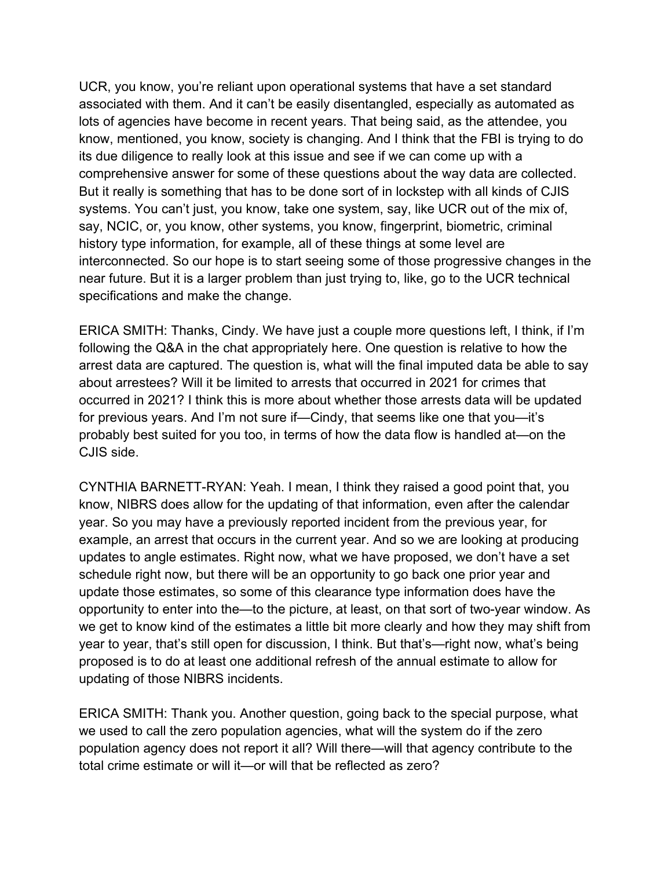UCR, you know, you're reliant upon operational systems that have a set standard associated with them. And it can't be easily disentangled, especially as automated as lots of agencies have become in recent years. That being said, as the attendee, you know, mentioned, you know, society is changing. And I think that the FBI is trying to do its due diligence to really look at this issue and see if we can come up with a comprehensive answer for some of these questions about the way data are collected. But it really is something that has to be done sort of in lockstep with all kinds of CJIS systems. You can't just, you know, take one system, say, like UCR out of the mix of, say, NCIC, or, you know, other systems, you know, fingerprint, biometric, criminal history type information, for example, all of these things at some level are interconnected. So our hope is to start seeing some of those progressive changes in the near future. But it is a larger problem than just trying to, like, go to the UCR technical specifications and make the change.

ERICA SMITH: Thanks, Cindy. We have just a couple more questions left, I think, if I'm following the Q&A in the chat appropriately here. One question is relative to how the arrest data are captured. The question is, what will the final imputed data be able to say about arrestees? Will it be limited to arrests that occurred in 2021 for crimes that occurred in 2021? I think this is more about whether those arrests data will be updated for previous years. And I'm not sure if—Cindy, that seems like one that you—it's probably best suited for you too, in terms of how the data flow is handled at—on the CJIS side.

CYNTHIA BARNETT-RYAN: Yeah. I mean, I think they raised a good point that, you know, NIBRS does allow for the updating of that information, even after the calendar year. So you may have a previously reported incident from the previous year, for example, an arrest that occurs in the current year. And so we are looking at producing updates to angle estimates. Right now, what we have proposed, we don't have a set schedule right now, but there will be an opportunity to go back one prior year and update those estimates, so some of this clearance type information does have the opportunity to enter into the—to the picture, at least, on that sort of two-year window. As we get to know kind of the estimates a little bit more clearly and how they may shift from year to year, that's still open for discussion, I think. But that's—right now, what's being proposed is to do at least one additional refresh of the annual estimate to allow for updating of those NIBRS incidents.

ERICA SMITH: Thank you. Another question, going back to the special purpose, what we used to call the zero population agencies, what will the system do if the zero population agency does not report it all? Will there—will that agency contribute to the total crime estimate or will it—or will that be reflected as zero?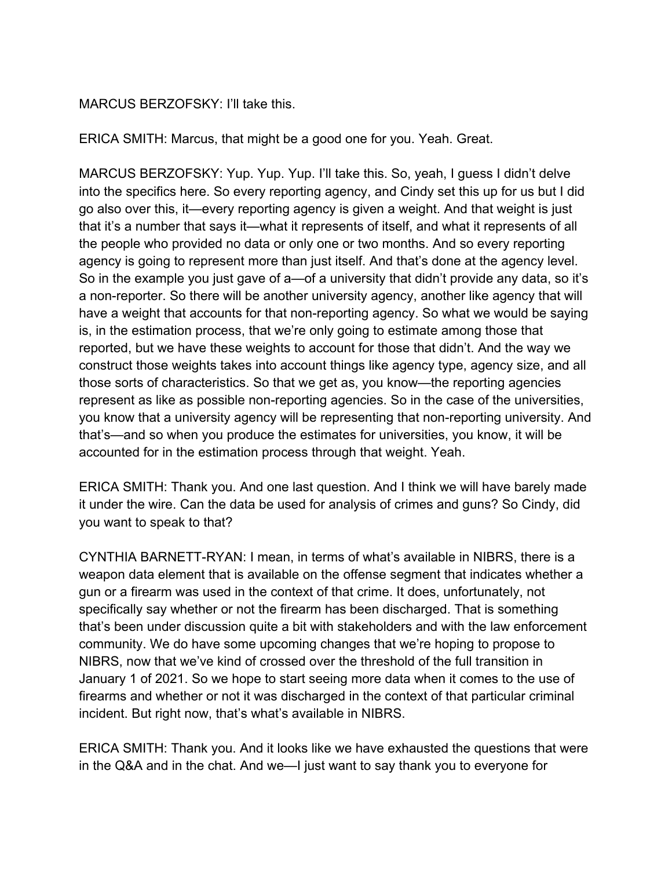## MARCUS BERZOFSKY: I'll take this.

ERICA SMITH: Marcus, that might be a good one for you. Yeah. Great.

MARCUS BERZOFSKY: Yup. Yup. Yup. I'll take this. So, yeah, I guess I didn't delve into the specifics here. So every reporting agency, and Cindy set this up for us but I did go also over this, it—every reporting agency is given a weight. And that weight is just that it's a number that says it—what it represents of itself, and what it represents of all the people who provided no data or only one or two months. And so every reporting agency is going to represent more than just itself. And that's done at the agency level. So in the example you just gave of a—of a university that didn't provide any data, so it's a non-reporter. So there will be another university agency, another like agency that will have a weight that accounts for that non-reporting agency. So what we would be saying is, in the estimation process, that we're only going to estimate among those that reported, but we have these weights to account for those that didn't. And the way we construct those weights takes into account things like agency type, agency size, and all those sorts of characteristics. So that we get as, you know—the reporting agencies represent as like as possible non-reporting agencies. So in the case of the universities, you know that a university agency will be representing that non-reporting university. And that's—and so when you produce the estimates for universities, you know, it will be accounted for in the estimation process through that weight. Yeah.

ERICA SMITH: Thank you. And one last question. And I think we will have barely made it under the wire. Can the data be used for analysis of crimes and guns? So Cindy, did you want to speak to that?

CYNTHIA BARNETT-RYAN: I mean, in terms of what's available in NIBRS, there is a weapon data element that is available on the offense segment that indicates whether a gun or a firearm was used in the context of that crime. It does, unfortunately, not specifically say whether or not the firearm has been discharged. That is something that's been under discussion quite a bit with stakeholders and with the law enforcement community. We do have some upcoming changes that we're hoping to propose to NIBRS, now that we've kind of crossed over the threshold of the full transition in January 1 of 2021. So we hope to start seeing more data when it comes to the use of firearms and whether or not it was discharged in the context of that particular criminal incident. But right now, that's what's available in NIBRS.

ERICA SMITH: Thank you. And it looks like we have exhausted the questions that were in the Q&A and in the chat. And we—I just want to say thank you to everyone for